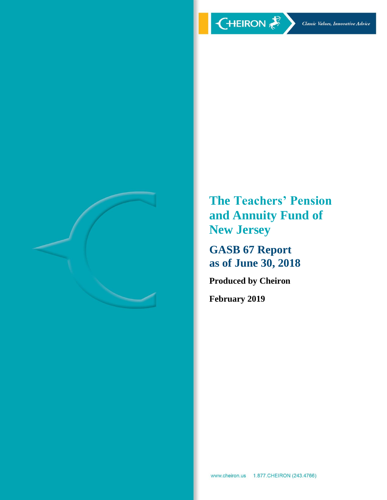

**The Teachers' Pension and Annuity Fund of New Jersey**

**GASB 67 Report as of June 30, 2018**

**Produced by Cheiron**

**February 2019**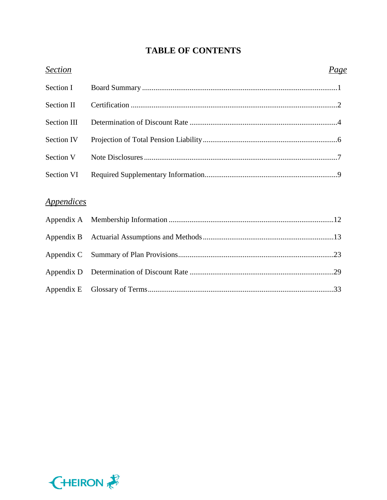# **TABLE OF CONTENTS**

| <b>Section</b>                  | Page |
|---------------------------------|------|
| Section I                       |      |
| <b>Section II</b>               |      |
| Section III                     |      |
| Section IV                      |      |
| Section V                       |      |
| Section VI                      |      |
|                                 |      |
| <i><u><b>Appendices</b></u></i> |      |
| Appendix A                      |      |
| Appendix B                      |      |
| Appendix C                      |      |
| Appendix D                      |      |
| Appendix E                      |      |

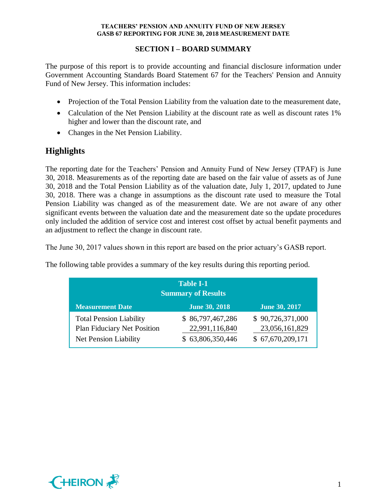## **SECTION I – BOARD SUMMARY**

The purpose of this report is to provide accounting and financial disclosure information under Government Accounting Standards Board Statement 67 for the Teachers' Pension and Annuity Fund of New Jersey. This information includes:

- Projection of the Total Pension Liability from the valuation date to the measurement date,
- Calculation of the Net Pension Liability at the discount rate as well as discount rates 1% higher and lower than the discount rate, and
- Changes in the Net Pension Liability.

## **Highlights**

The reporting date for the Teachers' Pension and Annuity Fund of New Jersey (TPAF) is June 30, 2018. Measurements as of the reporting date are based on the fair value of assets as of June 30, 2018 and the Total Pension Liability as of the valuation date, July 1, 2017, updated to June 30, 2018. There was a change in assumptions as the discount rate used to measure the Total Pension Liability was changed as of the measurement date. We are not aware of any other significant events between the valuation date and the measurement date so the update procedures only included the addition of service cost and interest cost offset by actual benefit payments and an adjustment to reflect the change in discount rate.

The June 30, 2017 values shown in this report are based on the prior actuary's GASB report.

| <b>Table I-1</b><br><b>Summary of Results</b>                                                        |                                                        |                                                        |  |  |  |  |  |
|------------------------------------------------------------------------------------------------------|--------------------------------------------------------|--------------------------------------------------------|--|--|--|--|--|
| <b>Measurement Date</b>                                                                              | <b>June 30, 2018</b>                                   | June 30, 2017                                          |  |  |  |  |  |
| <b>Total Pension Liability</b><br><b>Plan Fiduciary Net Position</b><br><b>Net Pension Liability</b> | \$86,797,467,286<br>22,991,116,840<br>\$63,806,350,446 | \$90,726,371,000<br>23,056,161,829<br>\$67,670,209,171 |  |  |  |  |  |

The following table provides a summary of the key results during this reporting period.

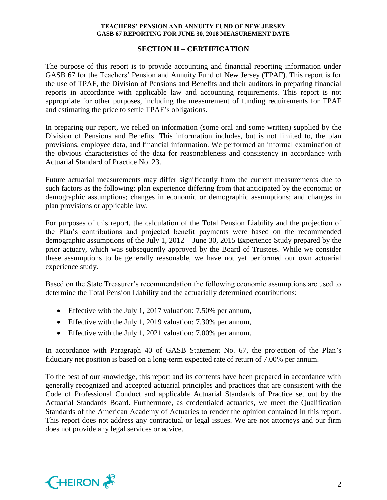## **SECTION II – CERTIFICATION**

The purpose of this report is to provide accounting and financial reporting information under GASB 67 for the Teachers' Pension and Annuity Fund of New Jersey (TPAF). This report is for the use of TPAF, the Division of Pensions and Benefits and their auditors in preparing financial reports in accordance with applicable law and accounting requirements. This report is not appropriate for other purposes, including the measurement of funding requirements for TPAF and estimating the price to settle TPAF's obligations.

In preparing our report, we relied on information (some oral and some written) supplied by the Division of Pensions and Benefits. This information includes, but is not limited to, the plan provisions, employee data, and financial information. We performed an informal examination of the obvious characteristics of the data for reasonableness and consistency in accordance with Actuarial Standard of Practice No. 23.

Future actuarial measurements may differ significantly from the current measurements due to such factors as the following: plan experience differing from that anticipated by the economic or demographic assumptions; changes in economic or demographic assumptions; and changes in plan provisions or applicable law.

For purposes of this report, the calculation of the Total Pension Liability and the projection of the Plan's contributions and projected benefit payments were based on the recommended demographic assumptions of the July 1, 2012 – June 30, 2015 Experience Study prepared by the prior actuary, which was subsequently approved by the Board of Trustees. While we consider these assumptions to be generally reasonable, we have not yet performed our own actuarial experience study.

Based on the State Treasurer's recommendation the following economic assumptions are used to determine the Total Pension Liability and the actuarially determined contributions:

- Effective with the July 1, 2017 valuation: 7.50% per annum,
- Effective with the July 1, 2019 valuation: 7.30% per annum,
- Effective with the July 1, 2021 valuation: 7.00% per annum.

In accordance with Paragraph 40 of GASB Statement No. 67, the projection of the Plan's fiduciary net position is based on a long-term expected rate of return of 7.00% per annum.

To the best of our knowledge, this report and its contents have been prepared in accordance with generally recognized and accepted actuarial principles and practices that are consistent with the Code of Professional Conduct and applicable Actuarial Standards of Practice set out by the Actuarial Standards Board. Furthermore, as credentialed actuaries, we meet the Qualification Standards of the American Academy of Actuaries to render the opinion contained in this report. This report does not address any contractual or legal issues. We are not attorneys and our firm does not provide any legal services or advice.

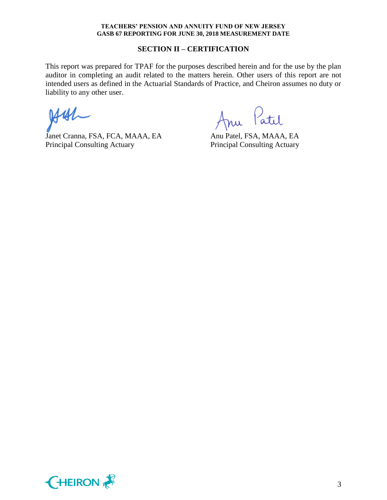#### **SECTION II – CERTIFICATION**

This report was prepared for TPAF for the purposes described herein and for the use by the plan auditor in completing an audit related to the matters herein. Other users of this report are not intended users as defined in the Actuarial Standards of Practice, and Cheiron assumes no duty or liability to any other user.

ray

Janet Cranna, FSA, FCA, MAAA, EA Anu Patel, FSA, MAAA, EA<br>Principal Consulting Actuary Principal Consulting Actuary Principal Consulting Actuary

nu Patil

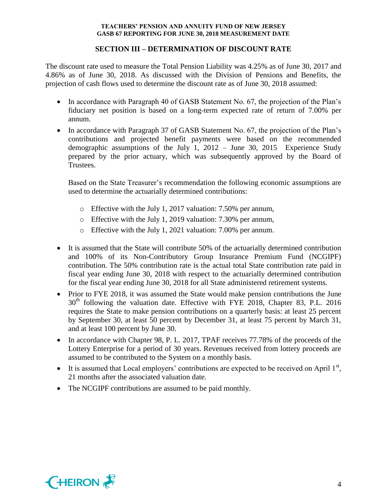## **SECTION III – DETERMINATION OF DISCOUNT RATE**

The discount rate used to measure the Total Pension Liability was 4.25% as of June 30, 2017 and 4.86% as of June 30, 2018. As discussed with the Division of Pensions and Benefits, the projection of cash flows used to determine the discount rate as of June 30, 2018 assumed:

- In accordance with Paragraph 40 of GASB Statement No. 67, the projection of the Plan's fiduciary net position is based on a long-term expected rate of return of 7.00% per annum.
- In accordance with Paragraph 37 of GASB Statement No. 67, the projection of the Plan's contributions and projected benefit payments were based on the recommended demographic assumptions of the July 1, 2012 – June 30, 2015 Experience Study prepared by the prior actuary, which was subsequently approved by the Board of Trustees.

Based on the State Treasurer's recommendation the following economic assumptions are used to determine the actuarially determined contributions:

- o Effective with the July 1, 2017 valuation: 7.50% per annum,
- o Effective with the July 1, 2019 valuation: 7.30% per annum,
- o Effective with the July 1, 2021 valuation: 7.00% per annum.
- It is assumed that the State will contribute 50% of the actuarially determined contribution and 100% of its Non-Contributory Group Insurance Premium Fund (NCGIPF) contribution. The 50% contribution rate is the actual total State contribution rate paid in fiscal year ending June 30, 2018 with respect to the actuarially determined contribution for the fiscal year ending June 30, 2018 for all State administered retirement systems.
- Prior to FYE 2018, it was assumed the State would make pension contributions the June  $30<sup>th</sup>$  following the valuation date. Effective with FYE 2018, Chapter 83, P.L. 2016 requires the State to make pension contributions on a quarterly basis: at least 25 percent by September 30, at least 50 percent by December 31, at least 75 percent by March 31, and at least 100 percent by June 30.
- In accordance with Chapter 98, P. L. 2017, TPAF receives 77.78% of the proceeds of the Lottery Enterprise for a period of 30 years. Revenues received from lottery proceeds are assumed to be contributed to the System on a monthly basis.
- It is assumed that Local employers' contributions are expected to be received on April  $1<sup>st</sup>$ , 21 months after the associated valuation date.
- The NCGIPF contributions are assumed to be paid monthly.

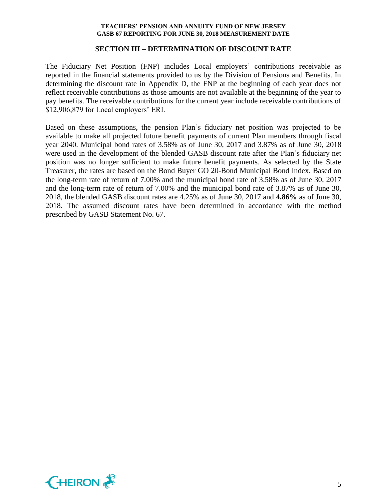#### **SECTION III – DETERMINATION OF DISCOUNT RATE**

The Fiduciary Net Position (FNP) includes Local employers' contributions receivable as reported in the financial statements provided to us by the Division of Pensions and Benefits. In determining the discount rate in Appendix D, the FNP at the beginning of each year does not reflect receivable contributions as those amounts are not available at the beginning of the year to pay benefits. The receivable contributions for the current year include receivable contributions of \$12,906,879 for Local employers' ERI.

Based on these assumptions, the pension Plan's fiduciary net position was projected to be available to make all projected future benefit payments of current Plan members through fiscal year 2040. Municipal bond rates of 3.58% as of June 30, 2017 and 3.87% as of June 30, 2018 were used in the development of the blended GASB discount rate after the Plan's fiduciary net position was no longer sufficient to make future benefit payments. As selected by the State Treasurer, the rates are based on the Bond Buyer GO 20-Bond Municipal Bond Index. Based on the long-term rate of return of 7.00% and the municipal bond rate of 3.58% as of June 30, 2017 and the long-term rate of return of 7.00% and the municipal bond rate of 3.87% as of June 30, 2018, the blended GASB discount rates are 4.25% as of June 30, 2017 and **4.86%** as of June 30, 2018. The assumed discount rates have been determined in accordance with the method prescribed by GASB Statement No. 67.

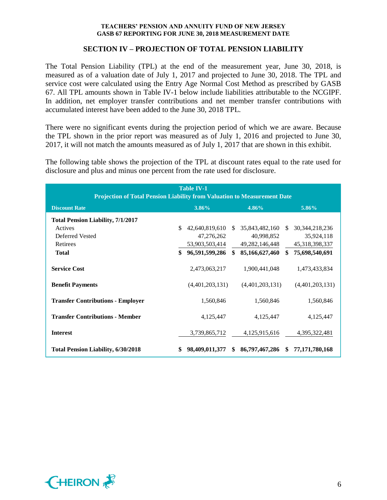#### **SECTION IV – PROJECTION OF TOTAL PENSION LIABILITY**

The Total Pension Liability (TPL) at the end of the measurement year, June 30, 2018, is measured as of a valuation date of July 1, 2017 and projected to June 30, 2018. The TPL and service cost were calculated using the Entry Age Normal Cost Method as prescribed by GASB 67. All TPL amounts shown in Table IV-1 below include liabilities attributable to the NCGIPF. In addition, net employer transfer contributions and net member transfer contributions with accumulated interest have been added to the June 30, 2018 TPL.

There were no significant events during the projection period of which we are aware. Because the TPL shown in the prior report was measured as of July 1, 2016 and projected to June 30, 2017, it will not match the amounts measured as of July 1, 2017 that are shown in this exhibit.

The following table shows the projection of the TPL at discount rates equal to the rate used for disclosure and plus and minus one percent from the rate used for disclosure.

| <b>Table IV-1</b><br><b>Projection of Total Pension Liability from Valuation to Measurement Date</b> |    |                 |    |                   |    |                   |  |  |  |
|------------------------------------------------------------------------------------------------------|----|-----------------|----|-------------------|----|-------------------|--|--|--|
| <b>Discount Rate</b><br>3.86%<br>4.86%<br>5.86%                                                      |    |                 |    |                   |    |                   |  |  |  |
| <b>Total Pension Liability, 7/1/2017</b>                                                             |    |                 |    |                   |    |                   |  |  |  |
| Actives                                                                                              |    | 42,640,819,610  |    | \$35,843,482,160  | S. | 30, 344, 218, 236 |  |  |  |
| Deferred Vested                                                                                      |    | 47,276,262      |    | 40,998,852        |    | 35,924,118        |  |  |  |
| Retirees                                                                                             |    | 53,903,503,414  |    | 49, 282, 146, 448 |    | 45,318,398,337    |  |  |  |
| <b>Total</b>                                                                                         | \$ | 96,591,599,286  |    | \$85,166,627,460  |    | \$75,698,540,691  |  |  |  |
| <b>Service Cost</b>                                                                                  |    | 2,473,063,217   |    | 1,900,441,048     |    | 1,473,433,834     |  |  |  |
| <b>Benefit Payments</b>                                                                              |    | (4,401,203,131) |    | (4,401,203,131)   |    | (4,401,203,131)   |  |  |  |
| <b>Transfer Contributions - Employer</b>                                                             |    | 1,560,846       |    | 1,560,846         |    | 1,560,846         |  |  |  |
| <b>Transfer Contributions - Member</b>                                                               |    | 4,125,447       |    | 4,125,447         |    | 4,125,447         |  |  |  |
| <b>Interest</b>                                                                                      |    | 3,739,865,712   |    | 4,125,915,616     |    | 4,395,322,481     |  |  |  |
| <b>Total Pension Liability, 6/30/2018</b>                                                            | \$ | 98,409,011,377  | \$ | 86,797,467,286    | S. | 77,171,780,168    |  |  |  |

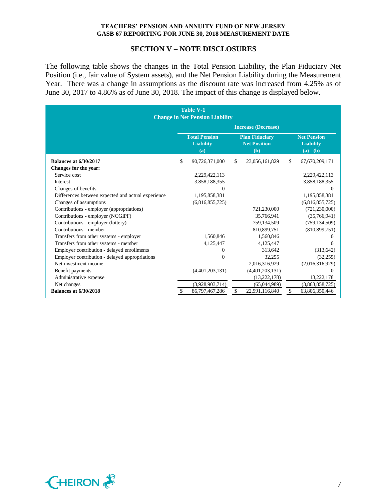#### **SECTION V – NOTE DISCLOSURES**

The following table shows the changes in the Total Pension Liability, the Plan Fiduciary Net Position (i.e., fair value of System assets), and the Net Pension Liability during the Measurement Year. There was a change in assumptions as the discount rate was increased from 4.25% as of June 30, 2017 to 4.86% as of June 30, 2018. The impact of this change is displayed below.

| <b>Table V-1</b><br><b>Change in Net Pension Liability</b> |                                                                                                        |                 |    |                                                       |    |                 |
|------------------------------------------------------------|--------------------------------------------------------------------------------------------------------|-----------------|----|-------------------------------------------------------|----|-----------------|
|                                                            | <b>Increase (Decrease)</b>                                                                             |                 |    |                                                       |    |                 |
|                                                            | <b>Total Pension</b><br><b>Plan Fiduciary</b><br><b>Net Position</b><br><b>Liability</b><br>(b)<br>(a) |                 |    | <b>Net Pension</b><br><b>Liability</b><br>$(a) - (b)$ |    |                 |
| <b>Balances at 6/30/2017</b>                               | \$                                                                                                     | 90,726,371,000  | \$ | 23,056,161,829                                        | \$ | 67,670,209,171  |
| Changes for the year:                                      |                                                                                                        |                 |    |                                                       |    |                 |
| Service cost                                               |                                                                                                        | 2,229,422,113   |    |                                                       |    | 2,229,422,113   |
| Interest                                                   |                                                                                                        | 3,858,188,355   |    |                                                       |    | 3,858,188,355   |
| Changes of benefits                                        |                                                                                                        | $\Omega$        |    |                                                       |    | $\Omega$        |
| Differences between expected and actual experience         |                                                                                                        | 1,195,858,381   |    |                                                       |    | 1,195,858,381   |
| Changes of assumptions                                     |                                                                                                        | (6,816,855,725) |    |                                                       |    | (6,816,855,725) |
| Contributions - employer (appropriations)                  |                                                                                                        |                 |    | 721,230,000                                           |    | (721, 230, 000) |
| Contributions - employer (NCGIPF)                          |                                                                                                        |                 |    | 35,766,941                                            |    | (35,766,941)    |
| Contributions - employer (lottery)                         |                                                                                                        |                 |    | 759,134,509                                           |    | (759, 134, 509) |
| Contributions - member                                     |                                                                                                        |                 |    | 810,899,751                                           |    | (810, 899, 751) |
| Transfers from other systems - employer                    |                                                                                                        | 1,560,846       |    | 1,560,846                                             |    | 0               |
| Transfers from other systems - member                      |                                                                                                        | 4,125,447       |    | 4,125,447                                             |    | $\Omega$        |
| Employer contribution - delayed enrollments                |                                                                                                        | 0               |    | 313.642                                               |    | (313, 642)      |
| Employer contribution - delayed appropriations             |                                                                                                        | $\Omega$        |    | 32,255                                                |    | (32,255)        |
| Net investment income                                      |                                                                                                        |                 |    | 2,016,316,929                                         |    | (2,016,316,929) |
| Benefit payments                                           |                                                                                                        | (4,401,203,131) |    | (4,401,203,131)                                       |    | $\Omega$        |
| Administrative expense                                     |                                                                                                        |                 |    | (13,222,178)                                          |    | 13,222,178      |
| Net changes                                                |                                                                                                        | (3,928,903,714) |    | (65,044,989)                                          |    | (3,863,858,725) |
| <b>Balances at 6/30/2018</b>                               |                                                                                                        | 86,797,467,286  | \$ | 22,991,116,840                                        | \$ | 63,806,350,446  |

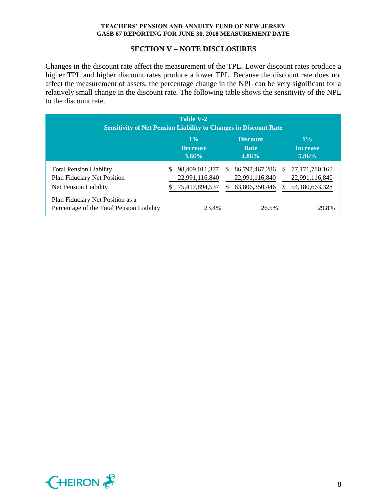#### **SECTION V – NOTE DISCLOSURES**

Changes in the discount rate affect the measurement of the TPL. Lower discount rates produce a higher TPL and higher discount rates produce a lower TPL. Because the discount rate does not affect the measurement of assets, the percentage change in the NPL can be very significant for a relatively small change in the discount rate. The following table shows the sensitivity of the NPL to the discount rate.

| <b>Table V-2</b><br><b>Sensitivity of Net Pension Liability to Changes in Discount Rate</b> |   |                                                    |               |                                                       |    |                                                       |  |
|---------------------------------------------------------------------------------------------|---|----------------------------------------------------|---------------|-------------------------------------------------------|----|-------------------------------------------------------|--|
|                                                                                             |   | $1\%$<br><b>Decrease</b><br>$3.86\%$               |               | <b>Discount</b><br>Rate<br>$4.86\%$                   |    | $1\%$<br><b>Increase</b><br>$5.86\%$                  |  |
| <b>Total Pension Liability</b><br>Plan Fiduciary Net Position<br>Net Pension Liability      | S | 98,409,011,377<br>22,991,116,840<br>75,417,894,537 | <sup>\$</sup> | 86, 797, 467, 286<br>22,991,116,840<br>63,806,350,446 | S. | 77, 171, 780, 168<br>22,991,116,840<br>54,180,663,328 |  |
| Plan Fiduciary Net Position as a<br>Percentage of the Total Pension Liability               |   | 23.4%                                              |               | 26.5%                                                 |    | 29.8%                                                 |  |

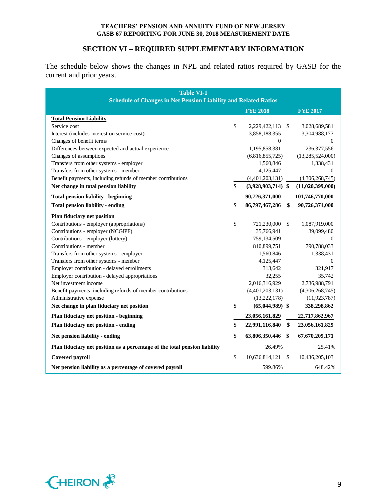## **SECTION VI – REQUIRED SUPPLEMENTARY INFORMATION**

The schedule below shows the changes in NPL and related ratios required by GASB for the current and prior years.

| <b>Table VI-1</b><br><b>Schedule of Changes in Net Pension Liability and Related Ratios</b> |    |                      |               |                  |  |
|---------------------------------------------------------------------------------------------|----|----------------------|---------------|------------------|--|
|                                                                                             |    | <b>FYE 2018</b>      |               | <b>FYE 2017</b>  |  |
| <b>Total Pension Liability</b>                                                              |    |                      |               |                  |  |
| Service cost                                                                                | \$ | 2,229,422,113        | <sup>\$</sup> | 3,028,689,581    |  |
| Interest (includes interest on service cost)                                                |    | 3,858,188,355        |               | 3,304,988,177    |  |
| Changes of benefit terms                                                                    |    | $\boldsymbol{0}$     |               | $\mathbf{0}$     |  |
| Differences between expected and actual experience                                          |    | 1,195,858,381        |               | 236, 377, 556    |  |
| Changes of assumptions                                                                      |    | (6,816,855,725)      |               | (13,285,524,000) |  |
| Transfers from other systems - employer                                                     |    | 1,560,846            |               | 1,338,431        |  |
| Transfers from other systems - member                                                       |    | 4,125,447            |               | $\mathbf{0}$     |  |
| Benefit payments, including refunds of member contributions                                 |    | (4,401,203,131)      |               | (4,306,268,745)  |  |
| Net change in total pension liability                                                       | \$ | $(3,928,903,714)$ \$ |               | (11,020,399,000) |  |
| <b>Total pension liability - beginning</b>                                                  |    | 90,726,371,000       |               | 101,746,770,000  |  |
| <b>Total pension liability - ending</b>                                                     | \$ | 86,797,467,286       | \$            | 90,726,371,000   |  |
| <b>Plan fiduciary net position</b>                                                          |    |                      |               |                  |  |
| Contributions - employer (appropriations)                                                   | \$ | 721,230,000          | $\mathcal{S}$ | 1,087,919,000    |  |
| Contributions - employer (NCGIPF)                                                           |    | 35,766,941           |               | 39,099,480       |  |
| Contributions - employer (lottery)                                                          |    | 759,134,509          |               | $\mathbf{0}$     |  |
| Contributions - member                                                                      |    | 810,899,751          |               | 790,788,033      |  |
| Transfers from other systems - employer                                                     |    | 1,560,846            |               | 1,338,431        |  |
| Transfers from other systems - member                                                       |    | 4,125,447            |               | $\boldsymbol{0}$ |  |
| Employer contribution - delayed enrollments                                                 |    | 313,642              |               | 321,917          |  |
| Employer contribution - delayed appropriations                                              |    | 32,255               |               | 35,742           |  |
| Net investment income                                                                       |    | 2,016,316,929        |               | 2,736,988,791    |  |
| Benefit payments, including refunds of member contributions                                 |    | (4,401,203,131)      |               | (4,306,268,745)  |  |
| Administrative expense                                                                      |    | (13,222,178)         |               | (11, 923, 787)   |  |
| Net change in plan fiduciary net position                                                   | \$ | $(65,044,989)$ \$    |               | 338,298,862      |  |
| Plan fiduciary net position - beginning                                                     |    | 23,056,161,829       |               | 22,717,862,967   |  |
| Plan fiduciary net position - ending                                                        | \$ | 22,991,116,840       | \$            | 23,056,161,829   |  |
| Net pension liability - ending                                                              | \$ | 63,806,350,446       | \$            | 67,670,209,171   |  |
| Plan fiduciary net position as a percentage of the total pension liability                  |    | 26.49%               |               | 25.41%           |  |
| <b>Covered payroll</b>                                                                      | \$ | 10,636,814,121       | \$            | 10,436,205,103   |  |
| Net pension liability as a percentage of covered payroll                                    |    | 599.86%              |               | 648.42%          |  |

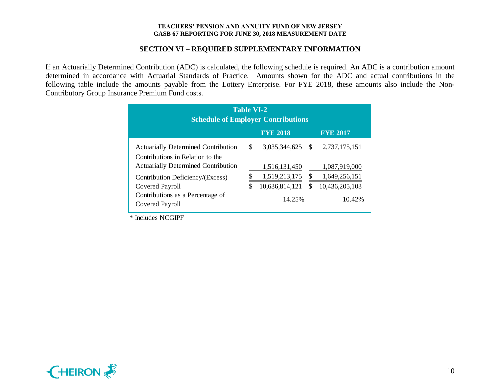#### **SECTION VI – REQUIRED SUPPLEMENTARY INFORMATION**

If an Actuarially Determined Contribution (ADC) is calculated, the following schedule is required. An ADC is a contribution amount determined in accordance with Actuarial Standards of Practice. Amounts shown for the ADC and actual contributions in the following table include the amounts payable from the Lottery Enterprise. For FYE 2018, these amounts also include the Non-Contributory Group Insurance Premium Fund costs.

| <b>Table VI-2</b><br><b>Schedule of Employer Contributions</b>                 |    |                  |    |                |  |  |  |
|--------------------------------------------------------------------------------|----|------------------|----|----------------|--|--|--|
| <b>FYE 2018</b><br><b>FYE 2017</b>                                             |    |                  |    |                |  |  |  |
| <b>Actuarially Determined Contribution</b><br>Contributions in Relation to the | \$ | 3,035,344,625 \$ |    | 2,737,175,151  |  |  |  |
| <b>Actuarially Determined Contribution</b>                                     |    | 1,516,131,450    |    | 1,087,919,000  |  |  |  |
| Contribution Deficiency/(Excess)                                               |    | 1,519,213,175    | \$ | 1,649,256,151  |  |  |  |
| Covered Payroll                                                                | \$ | 10,636,814,121   | \$ | 10,436,205,103 |  |  |  |
| Contributions as a Percentage of<br>Covered Payroll                            |    | 14.25%           |    | 10.42%         |  |  |  |
| Includes NCGIPF                                                                |    |                  |    |                |  |  |  |



 $\Delta \sim 100$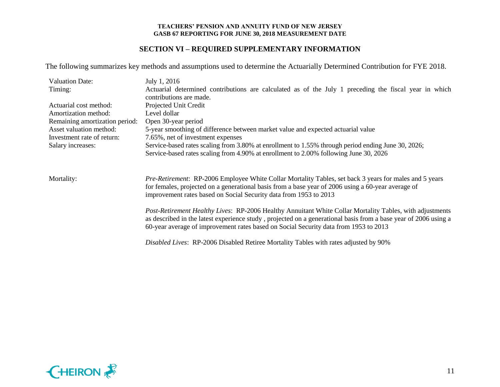## **SECTION VI – REQUIRED SUPPLEMENTARY INFORMATION**

The following summarizes key methods and assumptions used to determine the Actuarially Determined Contribution for FYE 2018.

| <b>Valuation Date:</b>         | July 1, 2016                                                                                                                                                                                                                                                                                                        |
|--------------------------------|---------------------------------------------------------------------------------------------------------------------------------------------------------------------------------------------------------------------------------------------------------------------------------------------------------------------|
| Timing:                        | Actuarial determined contributions are calculated as of the July 1 preceding the fiscal year in which                                                                                                                                                                                                               |
|                                | contributions are made.                                                                                                                                                                                                                                                                                             |
| Actuarial cost method:         | Projected Unit Credit                                                                                                                                                                                                                                                                                               |
| Amortization method:           | Level dollar                                                                                                                                                                                                                                                                                                        |
| Remaining amortization period: | Open 30-year period                                                                                                                                                                                                                                                                                                 |
| Asset valuation method:        | 5-year smoothing of difference between market value and expected actuarial value                                                                                                                                                                                                                                    |
| Investment rate of return:     | 7.65%, net of investment expenses                                                                                                                                                                                                                                                                                   |
| Salary increases:              | Service-based rates scaling from 3.80% at enrollment to 1.55% through period ending June 30, 2026;                                                                                                                                                                                                                  |
|                                | Service-based rates scaling from 4.90% at enrollment to 2.00% following June 30, 2026                                                                                                                                                                                                                               |
|                                |                                                                                                                                                                                                                                                                                                                     |
| Mortality:                     | <i>Pre-Retirement:</i> RP-2006 Employee White Collar Mortality Tables, set back 3 years for males and 5 years<br>for females, projected on a generational basis from a base year of 2006 using a 60-year average of<br>improvement rates based on Social Security data from 1953 to 2013                            |
|                                | Post-Retirement Healthy Lives: RP-2006 Healthy Annuitant White Collar Mortality Tables, with adjustments<br>as described in the latest experience study, projected on a generational basis from a base year of 2006 using a<br>60-year average of improvement rates based on Social Security data from 1953 to 2013 |
|                                | Disabled Lives: RP-2006 Disabled Retiree Mortality Tables with rates adjusted by 90%                                                                                                                                                                                                                                |
|                                |                                                                                                                                                                                                                                                                                                                     |

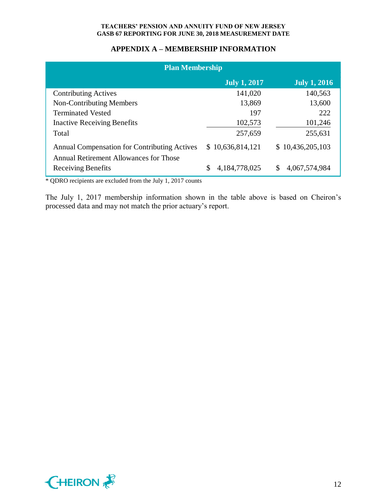## **APPENDIX A – MEMBERSHIP INFORMATION**

| <b>Plan Membership</b>                                                                        |                              |                     |  |  |  |  |
|-----------------------------------------------------------------------------------------------|------------------------------|---------------------|--|--|--|--|
|                                                                                               | <b>July 1, 2017</b>          | <b>July 1, 2016</b> |  |  |  |  |
| <b>Contributing Actives</b>                                                                   | 141,020                      | 140,563             |  |  |  |  |
| <b>Non-Contributing Members</b>                                                               | 13,869                       | 13,600              |  |  |  |  |
| <b>Terminated Vested</b>                                                                      | 197                          | 222                 |  |  |  |  |
| <b>Inactive Receiving Benefits</b>                                                            | 102,573                      | 101,246             |  |  |  |  |
| Total                                                                                         | 257,659                      | 255,631             |  |  |  |  |
| <b>Annual Compensation for Contributing Actives</b><br>Annual Retirement Allowances for Those | \$10,636,814,121             | \$10,436,205,103    |  |  |  |  |
| <b>Receiving Benefits</b>                                                                     | <b>S</b><br>4, 184, 778, 025 | \$<br>4,067,574,984 |  |  |  |  |

\* QDRO recipients are excluded from the July 1, 2017 counts

The July 1, 2017 membership information shown in the table above is based on Cheiron's processed data and may not match the prior actuary's report.

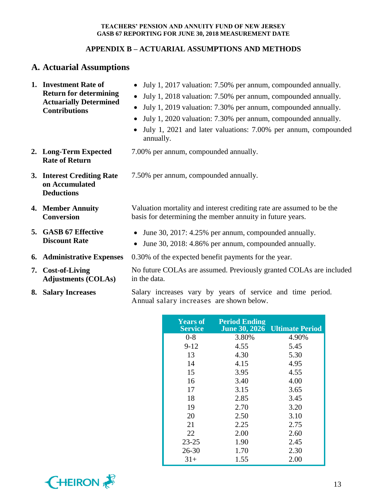## **APPENDIX B – ACTUARIAL ASSUMPTIONS AND METHODS**

## **A. Actuarial Assumptions**

| 1. Investment Rate of<br><b>Return for determining</b><br><b>Actuarially Determined</b><br><b>Contributions</b> | July 1, 2017 valuation: 7.50% per annum, compounded annually.<br>July 1, 2018 valuation: 7.50% per annum, compounded annually.<br>July 1, 2019 valuation: 7.30% per annum, compounded annually.<br>July 1, 2020 valuation: 7.30% per annum, compounded annually.<br>July 1, 2021 and later valuations: 7.00% per annum, compounded<br>annually. |  |  |  |  |
|-----------------------------------------------------------------------------------------------------------------|-------------------------------------------------------------------------------------------------------------------------------------------------------------------------------------------------------------------------------------------------------------------------------------------------------------------------------------------------|--|--|--|--|
| 2. Long-Term Expected<br><b>Rate of Return</b>                                                                  | 7.00% per annum, compounded annually.                                                                                                                                                                                                                                                                                                           |  |  |  |  |
| 3. Interest Crediting Rate<br>on Accumulated<br><b>Deductions</b>                                               | 7.50% per annum, compounded annually.                                                                                                                                                                                                                                                                                                           |  |  |  |  |
| 4. Member Annuity<br><b>Conversion</b>                                                                          | Valuation mortality and interest crediting rate are assumed to be the<br>basis for determining the member annuity in future years.                                                                                                                                                                                                              |  |  |  |  |
| 5. GASB 67 Effective<br><b>Discount Rate</b>                                                                    | • June 30, 2017: 4.25% per annum, compounded annually.<br>June 30, 2018: 4.86% per annum, compounded annually.                                                                                                                                                                                                                                  |  |  |  |  |
| 6. Administrative Expenses                                                                                      | 0.30% of the expected benefit payments for the year.                                                                                                                                                                                                                                                                                            |  |  |  |  |
| 7. Cost-of-Living<br><b>Adjustments (COLAs)</b>                                                                 | No future COLAs are assumed. Previously granted COLAs are included<br>in the data.                                                                                                                                                                                                                                                              |  |  |  |  |
| 8. Salary Increases                                                                                             | Salary increases vary by years of service and time period.<br>Annual salary increases are shown below.                                                                                                                                                                                                                                          |  |  |  |  |

| <b>Years of</b><br><b>Service</b> | <b>Period Ending</b> | June 30, 2026 Ultimate Period |
|-----------------------------------|----------------------|-------------------------------|
| 0-8                               | 3.80%                | 4.90%                         |
| $9 - 12$                          | 4.55                 | 5.45                          |
| 13                                | 4.30                 | 5.30                          |
| 14                                | 4.15                 | 4.95                          |
| 15                                | 3.95                 | 4.55                          |
| 16                                | 3.40                 | 4.00                          |
| 17                                | 3.15                 | 3.65                          |
| 18                                | 2.85                 | 3.45                          |
| 19                                | 2.70                 | 3.20                          |
| 20                                | 2.50                 | 3.10                          |
| 21                                | 2.25                 | 2.75                          |
| 22                                | 2.00                 | 2.60                          |
| 23-25                             | 1.90                 | 2.45                          |
| 26-30                             | 1.70                 | 2.30                          |
| $31+$                             | 1.55                 | 2.00                          |

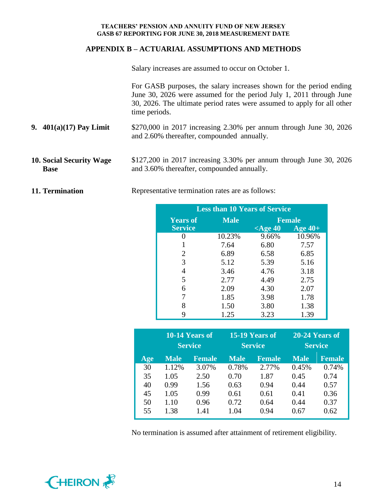## **APPENDIX B – ACTUARIAL ASSUMPTIONS AND METHODS**

Salary increases are assumed to occur on October 1.

For GASB purposes, the salary increases shown for the period ending June 30, 2026 were assumed for the period July 1, 2011 through June 30, 2026. The ultimate period rates were assumed to apply for all other time periods.

- **9. 401(a)(17) Pay Limit** \$270,000 in 2017 increasing 2.30% per annum through June 30, 2026 and 2.60% thereafter, compounded annually.
- **10. Social Security Wage Base** \$127,200 in 2017 increasing 3.30% per annum through June 30, 2026 and 3.60% thereafter, compounded annually.

**11. Termination** Representative termination rates are as follows:

| <b>Less than 10 Years of Service</b> |             |               |           |  |  |  |  |
|--------------------------------------|-------------|---------------|-----------|--|--|--|--|
| <b>Years of</b>                      | <b>Male</b> | <b>Female</b> |           |  |  |  |  |
| <b>Service</b>                       |             | $\leq$ Age 40 | Age $40+$ |  |  |  |  |
|                                      | 10.23%      | 9.66%         | 10.96%    |  |  |  |  |
|                                      | 7.64        | 6.80          | 7.57      |  |  |  |  |
| 2                                    | 6.89        | 6.58          | 6.85      |  |  |  |  |
| 3                                    | 5.12        | 5.39          | 5.16      |  |  |  |  |
| 4                                    | 3.46        | 4.76          | 3.18      |  |  |  |  |
| 5                                    | 2.77        | 4.49          | 2.75      |  |  |  |  |
| 6                                    | 2.09        | 4.30          | 2.07      |  |  |  |  |
|                                      | 1.85        | 3.98          | 1.78      |  |  |  |  |
| 8                                    | 1.50        | 3.80          | 1.38      |  |  |  |  |
|                                      | 1.25        | 3.23          | 1.39      |  |  |  |  |

|     | 10-14 Years of<br><b>Service</b> |               |             | 15-19 Years of<br><b>Service</b> | 20-24 Years of<br><b>Service</b> |               |  |
|-----|----------------------------------|---------------|-------------|----------------------------------|----------------------------------|---------------|--|
| Age | <b>Male</b>                      | <b>Female</b> | <b>Male</b> | <b>Female</b>                    | <b>Male</b>                      | <b>Female</b> |  |
| 30  | 1.12%                            | 3.07%         | 0.78%       | 2.77%                            | 0.45%                            | 0.74%         |  |
| 35  | 1.05                             | 2.50          | 0.70        | 1.87                             | 0.45                             | 0.74          |  |
| 40  | 0.99                             | 1.56          | 0.63        | 0.94                             | 0.44                             | 0.57          |  |
| 45  | 1.05                             | 0.99          | 0.61        | 0.61                             | 0.41                             | 0.36          |  |
| 50  | 1.10                             | 0.96          | 0.72        | 0.64                             | 0.44                             | 0.37          |  |
| 55  | 1.38                             | 1.41          | 1.04        | 0.94                             | 0.67                             | 0.62          |  |

No termination is assumed after attainment of retirement eligibility.

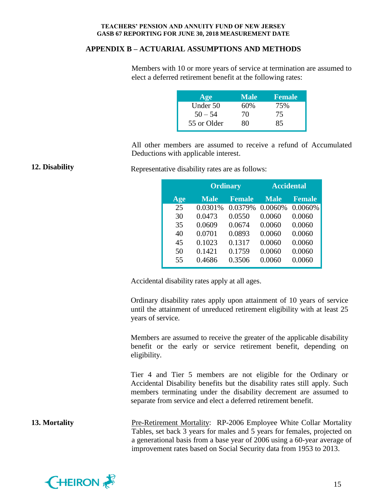#### **APPENDIX B – ACTUARIAL ASSUMPTIONS AND METHODS**

Members with 10 or more years of service at termination are assumed to elect a deferred retirement benefit at the following rates:

| Age         | Male | <b>Female</b> |
|-------------|------|---------------|
| Under 50    | 60%  | 75%           |
| $50 - 54$   | 70   | 75            |
| 55 or Older | XO   | 85            |

All other members are assumed to receive a refund of Accumulated Deductions with applicable interest.

**12. Disability** Representative disability rates are as follows:

|     | <b>Ordinary</b> |               | <b>Accidental</b> |               |  |  |
|-----|-----------------|---------------|-------------------|---------------|--|--|
| Age | <b>Male</b>     | <b>Female</b> | <b>Male</b>       | <b>Female</b> |  |  |
| 25  | 0.0301%         | 0.0379%       | 0.0060%           | 0.0060%       |  |  |
| 30  | 0.0473          | 0.0550        | 0.0060            | 0.0060        |  |  |
| 35  | 0.0609          | 0.0674        | 0.0060            | 0.0060        |  |  |
| 40  | 0.0701          | 0.0893        | 0.0060            | 0.0060        |  |  |
| 45  | 0.1023          | 0.1317        | 0.0060            | 0.0060        |  |  |
| 50  | 0.1421          | 0.1759        | 0.0060            | 0.0060        |  |  |
| 55  | 0.4686          | 0.3506        | 0.0060            | 0.0060        |  |  |

Accidental disability rates apply at all ages.

Ordinary disability rates apply upon attainment of 10 years of service until the attainment of unreduced retirement eligibility with at least 25 years of service.

Members are assumed to receive the greater of the applicable disability benefit or the early or service retirement benefit, depending on eligibility.

Tier 4 and Tier 5 members are not eligible for the Ordinary or Accidental Disability benefits but the disability rates still apply. Such members terminating under the disability decrement are assumed to separate from service and elect a deferred retirement benefit.

**13. Mortality** Pre-Retirement Mortality: RP-2006 Employee White Collar Mortality Tables, set back 3 years for males and 5 years for females, projected on a generational basis from a base year of 2006 using a 60-year average of improvement rates based on Social Security data from 1953 to 2013.

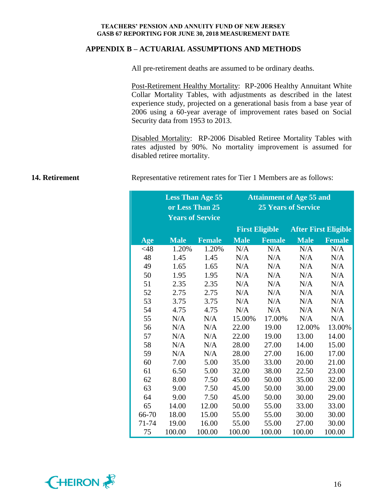#### **APPENDIX B – ACTUARIAL ASSUMPTIONS AND METHODS**

All pre-retirement deaths are assumed to be ordinary deaths.

Post-Retirement Healthy Mortality: RP-2006 Healthy Annuitant White Collar Mortality Tables, with adjustments as described in the latest experience study, projected on a generational basis from a base year of 2006 using a 60-year average of improvement rates based on Social Security data from 1953 to 2013.

Disabled Mortality: RP-2006 Disabled Retiree Mortality Tables with rates adjusted by 90%. No mortality improvement is assumed for disabled retiree mortality.

**14. Retirement** Representative retirement rates for Tier 1 Members are as follows:

|        | <b>Less Than Age 55</b><br>or Less Than 25<br><b>Years of Service</b> |               |             | <b>Attainment of Age 55 and</b><br><b>25 Years of Service</b> |             |                             |  |  |
|--------|-----------------------------------------------------------------------|---------------|-------------|---------------------------------------------------------------|-------------|-----------------------------|--|--|
|        |                                                                       |               |             | <b>First Eligible</b>                                         |             | <b>After First Eligible</b> |  |  |
| Age    | <b>Male</b>                                                           | <b>Female</b> | <b>Male</b> | <b>Female</b>                                                 | <b>Male</b> | <b>Female</b>               |  |  |
| $<$ 48 | 1.20%                                                                 | 1.20%         | N/A         | N/A                                                           | N/A         | N/A                         |  |  |
| 48     | 1.45                                                                  | 1.45          | N/A         | N/A                                                           | N/A         | N/A                         |  |  |
| 49     | 1.65                                                                  | 1.65          | N/A         | N/A                                                           | N/A         | N/A                         |  |  |
| 50     | 1.95                                                                  | 1.95          | N/A         | N/A                                                           | N/A         | N/A                         |  |  |
| 51     | 2.35                                                                  | 2.35          | N/A         | N/A                                                           | N/A         | N/A                         |  |  |
| 52     | 2.75                                                                  | 2.75          | N/A         | N/A                                                           | N/A         | N/A                         |  |  |
| 53     | 3.75                                                                  | 3.75          | N/A         | N/A                                                           | N/A         | N/A                         |  |  |
| 54     | 4.75                                                                  | 4.75          | N/A         | N/A                                                           | N/A         | N/A                         |  |  |
| 55     | N/A                                                                   | N/A           | 15.00%      | 17.00%                                                        | N/A         | N/A                         |  |  |
| 56     | N/A                                                                   | N/A           | 22.00       | 19.00                                                         | 12.00%      | 13.00%                      |  |  |
| 57     | N/A                                                                   | N/A           | 22.00       | 19.00                                                         | 13.00       | 14.00                       |  |  |
| 58     | N/A                                                                   | N/A           | 28.00       | 27.00                                                         | 14.00       | 15.00                       |  |  |
| 59     | N/A                                                                   | N/A           | 28.00       | 27.00                                                         | 16.00       | 17.00                       |  |  |
| 60     | 7.00                                                                  | 5.00          | 35.00       | 33.00                                                         | 20.00       | 21.00                       |  |  |
| 61     | 6.50                                                                  | 5.00          | 32.00       | 38.00                                                         | 22.50       | 23.00                       |  |  |
| 62     | 8.00                                                                  | 7.50          | 45.00       | 50.00                                                         | 35.00       | 32.00                       |  |  |
| 63     | 9.00                                                                  | 7.50          | 45.00       | 50.00                                                         | 30.00       | 29.00                       |  |  |
| 64     | 9.00                                                                  | 7.50          | 45.00       | 50.00                                                         | 30.00       | 29.00                       |  |  |
| 65     | 14.00                                                                 | 12.00         | 50.00       | 55.00                                                         | 33.00       | 33.00                       |  |  |
| 66-70  | 18.00                                                                 | 15.00         | 55.00       | 55.00                                                         | 30.00       | 30.00                       |  |  |
| 71-74  | 19.00                                                                 | 16.00         | 55.00       | 55.00                                                         | 27.00       | 30.00                       |  |  |
| 75     | 100.00                                                                | 100.00        | 100.00      | 100.00                                                        | 100.00      | 100.00                      |  |  |

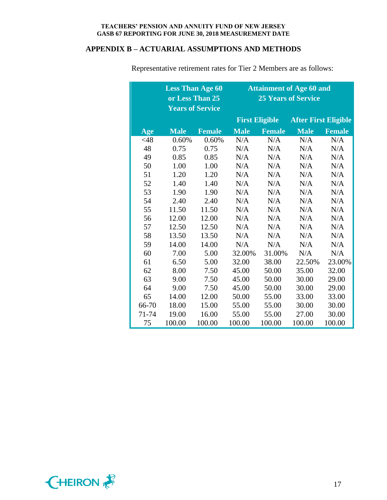## **APPENDIX B – ACTUARIAL ASSUMPTIONS AND METHODS**

|        | <b>Less Than Age 60</b> | or Less Than 25<br><b>Years of Service</b> |             | <b>Attainment of Age 60 and</b><br><b>25 Years of Service</b> |                             |               |  |  |
|--------|-------------------------|--------------------------------------------|-------------|---------------------------------------------------------------|-----------------------------|---------------|--|--|
|        |                         |                                            |             | <b>First Eligible</b>                                         | <b>After First Eligible</b> |               |  |  |
| Age    | <b>Male</b>             | <b>Female</b>                              | <b>Male</b> | <b>Female</b>                                                 | <b>Male</b>                 | <b>Female</b> |  |  |
| $<$ 48 | 0.60%                   | 0.60%                                      | N/A         | N/A                                                           | N/A                         | N/A           |  |  |
| 48     | 0.75                    | 0.75                                       | N/A         | N/A                                                           | N/A                         | N/A           |  |  |
| 49     | 0.85                    | 0.85                                       | N/A         | N/A                                                           | N/A                         | N/A           |  |  |
| 50     | 1.00                    | 1.00                                       | N/A         | N/A                                                           | N/A                         | N/A           |  |  |
| 51     | 1.20                    | 1.20                                       | N/A         | N/A                                                           | N/A                         | N/A           |  |  |
| 52     | 1.40                    | 1.40                                       | N/A         | N/A                                                           | N/A                         | N/A           |  |  |
| 53     | 1.90                    | 1.90                                       | N/A         | N/A                                                           | N/A                         | N/A           |  |  |
| 54     | 2.40                    | 2.40                                       | N/A         | N/A                                                           | N/A                         | N/A           |  |  |
| 55     | 11.50                   | 11.50                                      | N/A         | N/A                                                           | N/A                         | N/A           |  |  |
| 56     | 12.00                   | 12.00                                      | N/A         | N/A                                                           | N/A                         | N/A           |  |  |
| 57     | 12.50                   | 12.50                                      | N/A         | N/A                                                           | N/A                         | N/A           |  |  |
| 58     | 13.50                   | 13.50                                      | N/A         | N/A                                                           | N/A                         | N/A           |  |  |
| 59     | 14.00                   | 14.00                                      | N/A         | N/A                                                           | N/A                         | N/A           |  |  |
| 60     | 7.00                    | 5.00                                       | 32.00%      | 31.00%                                                        | N/A                         | N/A           |  |  |
| 61     | 6.50                    | 5.00                                       | 32.00       | 38.00                                                         | 22.50%                      | 23.00%        |  |  |
| 62     | 8.00                    | 7.50                                       | 45.00       | 50.00                                                         | 35.00                       | 32.00         |  |  |
| 63     | 9.00                    | 7.50                                       | 45.00       | 50.00                                                         | 30.00                       | 29.00         |  |  |
| 64     | 9.00                    | 7.50                                       | 45.00       | 50.00                                                         | 30.00                       | 29.00         |  |  |
| 65     | 14.00                   | 12.00                                      | 50.00       | 55.00                                                         | 33.00                       | 33.00         |  |  |
| 66-70  | 18.00                   | 15.00                                      | 55.00       | 55.00                                                         | 30.00                       | 30.00         |  |  |
| 71-74  | 19.00                   | 16.00                                      | 55.00       | 55.00                                                         | 27.00                       | 30.00         |  |  |
| 75     | 100.00                  | 100.00                                     | 100.00      | 100.00                                                        | 100.00                      | 100.00        |  |  |

Representative retirement rates for Tier 2 Members are as follows:

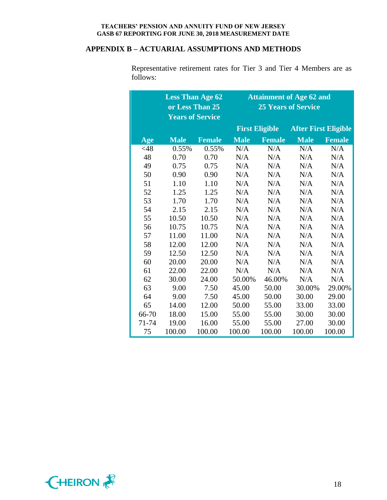## **APPENDIX B – ACTUARIAL ASSUMPTIONS AND METHODS**

|        | <b>Less Than Age 62</b> |               |             |                       | <b>Attainment of Age 62 and</b> |               |  |
|--------|-------------------------|---------------|-------------|-----------------------|---------------------------------|---------------|--|
|        | or Less Than 25         |               |             |                       | <b>25 Years of Service</b>      |               |  |
|        | <b>Years of Service</b> |               |             |                       |                                 |               |  |
|        |                         |               |             | <b>First Eligible</b> | <b>After First Eligible</b>     |               |  |
| Age    | <b>Male</b>             | <b>Female</b> | <b>Male</b> | <b>Female</b>         | <b>Male</b>                     | <b>Female</b> |  |
| $<$ 48 | 0.55%                   | 0.55%         | N/A         | N/A                   | N/A                             | N/A           |  |
| 48     | 0.70                    | 0.70          | N/A         | N/A                   | N/A                             | N/A           |  |
| 49     | 0.75                    | 0.75          | N/A         | N/A                   | N/A                             | N/A           |  |
| 50     | 0.90                    | 0.90          | N/A         | N/A                   | N/A                             | N/A           |  |
| 51     | 1.10                    | 1.10          | N/A         | N/A                   | N/A                             | N/A           |  |
| 52     | 1.25                    | 1.25          | N/A         | N/A                   | N/A                             | N/A           |  |
| 53     | 1.70                    | 1.70          | N/A         | N/A                   | N/A                             | N/A           |  |
| 54     | 2.15                    | 2.15          | N/A         | N/A                   | N/A                             | N/A           |  |
| 55     | 10.50                   | 10.50         | N/A         | N/A                   | N/A                             | N/A           |  |
| 56     | 10.75                   | 10.75         | N/A         | N/A                   | N/A                             | N/A           |  |
| 57     | 11.00                   | 11.00         | N/A         | N/A                   | N/A                             | N/A           |  |
| 58     | 12.00                   | 12.00         | N/A         | N/A                   | N/A                             | N/A           |  |
| 59     | 12.50                   | 12.50         | N/A         | N/A                   | N/A                             | N/A           |  |
| 60     | 20.00                   | 20.00         | N/A         | N/A                   | N/A                             | N/A           |  |
| 61     | 22.00                   | 22.00         | N/A         | N/A                   | N/A                             | N/A           |  |
| 62     | 30.00                   | 24.00         | 50.00%      | 46.00%                | N/A                             | N/A           |  |
| 63     | 9.00                    | 7.50          | 45.00       | 50.00                 | 30.00%                          | 29.00%        |  |
| 64     | 9.00                    | 7.50          | 45.00       | 50.00                 | 30.00                           | 29.00         |  |
| 65     | 14.00                   | 12.00         | 50.00       | 55.00                 | 33.00                           | 33.00         |  |
| 66-70  | 18.00                   | 15.00         | 55.00       | 55.00                 | 30.00                           | 30.00         |  |
| 71-74  | 19.00                   | 16.00         | 55.00       | 55.00                 | 27.00                           | 30.00         |  |
| 75     | 100.00                  | 100.00        | 100.00      | 100.00                | 100.00                          | 100.00        |  |

Representative retirement rates for Tier 3 and Tier 4 Members are as follows:

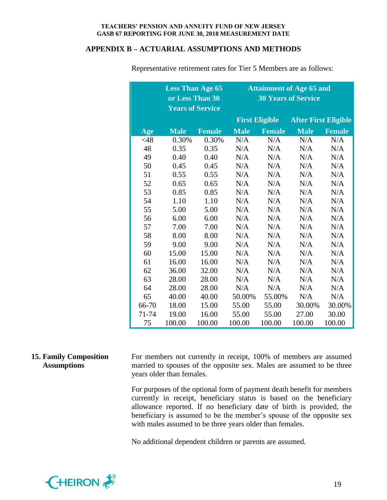#### **APPENDIX B – ACTUARIAL ASSUMPTIONS AND METHODS**

|        | <b>Less Than Age 65</b><br>or Less Than 30<br><b>Years of Service</b> |               |             | <b>Attainment of Age 65 and</b><br><b>30 Years of Service</b> |             |                             |  |  |
|--------|-----------------------------------------------------------------------|---------------|-------------|---------------------------------------------------------------|-------------|-----------------------------|--|--|
|        |                                                                       |               |             | <b>First Eligible</b>                                         |             | <b>After First Eligible</b> |  |  |
| Age    | <b>Male</b>                                                           | <b>Female</b> | <b>Male</b> | <b>Female</b>                                                 | <b>Male</b> | <b>Female</b>               |  |  |
| $<$ 48 | 0.30%                                                                 | 0.30%         | N/A         | N/A                                                           | N/A         | N/A                         |  |  |
| 48     | 0.35                                                                  | 0.35          | N/A         | N/A                                                           | N/A         | N/A                         |  |  |
| 49     | 0.40                                                                  | 0.40          | N/A         | N/A                                                           | N/A         | N/A                         |  |  |
| 50     | 0.45                                                                  | 0.45          | N/A         | N/A                                                           | N/A         | N/A                         |  |  |
| 51     | 0.55                                                                  | 0.55          | N/A         | N/A                                                           | N/A         | N/A                         |  |  |
| 52     | 0.65                                                                  | 0.65          | N/A         | N/A                                                           | N/A         | N/A                         |  |  |
| 53     | 0.85                                                                  | 0.85          | N/A         | N/A                                                           | N/A         | N/A                         |  |  |
| 54     | 1.10                                                                  | 1.10          | N/A         | N/A                                                           | N/A         | N/A                         |  |  |
| 55     | 5.00                                                                  | 5.00          | N/A         | N/A                                                           | N/A         | N/A                         |  |  |
| 56     | 6.00                                                                  | 6.00          | N/A         | N/A                                                           | N/A         | N/A                         |  |  |
| 57     | 7.00                                                                  | 7.00          | N/A         | N/A                                                           | N/A         | N/A                         |  |  |
| 58     | 8.00                                                                  | 8.00          | N/A         | N/A                                                           | N/A         | N/A                         |  |  |
| 59     | 9.00                                                                  | 9.00          | N/A         | N/A                                                           | N/A         | N/A                         |  |  |
| 60     | 15.00                                                                 | 15.00         | N/A         | N/A                                                           | N/A         | N/A                         |  |  |
| 61     | 16.00                                                                 | 16.00         | N/A         | N/A                                                           | N/A         | N/A                         |  |  |
| 62     | 36.00                                                                 | 32.00         | N/A         | N/A                                                           | N/A         | N/A                         |  |  |
| 63     | 28.00                                                                 | 28.00         | N/A         | N/A                                                           | N/A         | N/A                         |  |  |
| 64     | 28.00                                                                 | 28.00         | N/A         | N/A                                                           | N/A         | N/A                         |  |  |
| 65     | 40.00                                                                 | 40.00         | 50.00%      | 55.00%                                                        | N/A         | N/A                         |  |  |
| 66-70  | 18.00                                                                 | 15.00         | 55.00       | 55.00                                                         | 30.00%      | 30.00%                      |  |  |
| 71-74  | 19.00                                                                 | 16.00         | 55.00       | 55.00                                                         | 27.00       | 30.00                       |  |  |
| 75     | 100.00                                                                | 100.00        | 100.00      | 100.00                                                        | 100.00      | 100.00                      |  |  |

Representative retirement rates for Tier 5 Members are as follows:

#### **15. Family Composition Assumptions**

For members not currently in receipt, 100% of members are assumed married to spouses of the opposite sex. Males are assumed to be three years older than females.

For purposes of the optional form of payment death benefit for members currently in receipt, beneficiary status is based on the beneficiary allowance reported. If no beneficiary date of birth is provided, the beneficiary is assumed to be the member's spouse of the opposite sex with males assumed to be three years older than females.

No additional dependent children or parents are assumed.

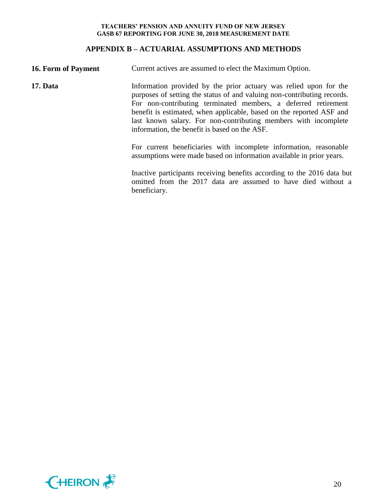## **APPENDIX B – ACTUARIAL ASSUMPTIONS AND METHODS**

| <b>16. Form of Payment</b> | Current actives are assumed to elect the Maximum Option.                                                                                                                                                                                                                                                                                                                                                   |
|----------------------------|------------------------------------------------------------------------------------------------------------------------------------------------------------------------------------------------------------------------------------------------------------------------------------------------------------------------------------------------------------------------------------------------------------|
| 17. Data                   | Information provided by the prior actuary was relied upon for the<br>purposes of setting the status of and valuing non-contributing records.<br>For non-contributing terminated members, a deferred retirement<br>benefit is estimated, when applicable, based on the reported ASF and<br>last known salary. For non-contributing members with incomplete<br>information, the benefit is based on the ASF. |
|                            | For current beneficiaries with incomplete information, reasonable<br>assumptions were made based on information available in prior years.                                                                                                                                                                                                                                                                  |
|                            | Inactive participants receiving benefits according to the 2016 data but<br>omitted from the 2017 data are assumed to have died without a<br>beneficiary.                                                                                                                                                                                                                                                   |

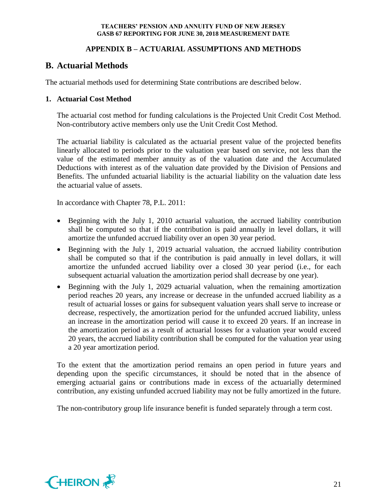## **APPENDIX B – ACTUARIAL ASSUMPTIONS AND METHODS**

## **B. Actuarial Methods**

The actuarial methods used for determining State contributions are described below.

## **1. Actuarial Cost Method**

The actuarial cost method for funding calculations is the Projected Unit Credit Cost Method. Non-contributory active members only use the Unit Credit Cost Method.

The actuarial liability is calculated as the actuarial present value of the projected benefits linearly allocated to periods prior to the valuation year based on service, not less than the value of the estimated member annuity as of the valuation date and the Accumulated Deductions with interest as of the valuation date provided by the Division of Pensions and Benefits. The unfunded actuarial liability is the actuarial liability on the valuation date less the actuarial value of assets.

In accordance with Chapter 78, P.L. 2011:

- Beginning with the July 1, 2010 actuarial valuation, the accrued liability contribution shall be computed so that if the contribution is paid annually in level dollars, it will amortize the unfunded accrued liability over an open 30 year period.
- Beginning with the July 1, 2019 actuarial valuation, the accrued liability contribution shall be computed so that if the contribution is paid annually in level dollars, it will amortize the unfunded accrued liability over a closed 30 year period (i.e., for each subsequent actuarial valuation the amortization period shall decrease by one year).
- Beginning with the July 1, 2029 actuarial valuation, when the remaining amortization period reaches 20 years, any increase or decrease in the unfunded accrued liability as a result of actuarial losses or gains for subsequent valuation years shall serve to increase or decrease, respectively, the amortization period for the unfunded accrued liability, unless an increase in the amortization period will cause it to exceed 20 years. If an increase in the amortization period as a result of actuarial losses for a valuation year would exceed 20 years, the accrued liability contribution shall be computed for the valuation year using a 20 year amortization period.

To the extent that the amortization period remains an open period in future years and depending upon the specific circumstances, it should be noted that in the absence of emerging actuarial gains or contributions made in excess of the actuarially determined contribution, any existing unfunded accrued liability may not be fully amortized in the future.

The non-contributory group life insurance benefit is funded separately through a term cost.

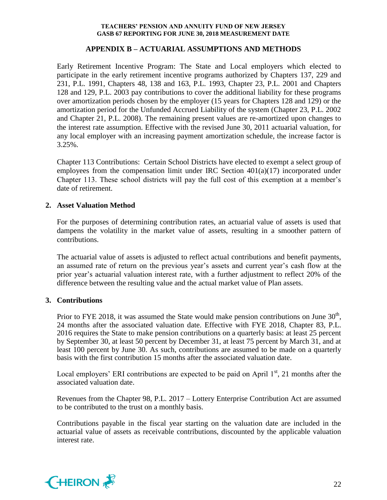## **APPENDIX B – ACTUARIAL ASSUMPTIONS AND METHODS**

Early Retirement Incentive Program: The State and Local employers which elected to participate in the early retirement incentive programs authorized by Chapters 137, 229 and 231, P.L. 1991, Chapters 48, 138 and 163, P.L. 1993, Chapter 23, P.L. 2001 and Chapters 128 and 129, P.L. 2003 pay contributions to cover the additional liability for these programs over amortization periods chosen by the employer (15 years for Chapters 128 and 129) or the amortization period for the Unfunded Accrued Liability of the system (Chapter 23, P.L. 2002 and Chapter 21, P.L. 2008). The remaining present values are re-amortized upon changes to the interest rate assumption. Effective with the revised June 30, 2011 actuarial valuation, for any local employer with an increasing payment amortization schedule, the increase factor is 3.25%.

Chapter 113 Contributions: Certain School Districts have elected to exempt a select group of employees from the compensation limit under IRC Section 401(a)(17) incorporated under Chapter 113. These school districts will pay the full cost of this exemption at a member's date of retirement.

## **2. Asset Valuation Method**

For the purposes of determining contribution rates, an actuarial value of assets is used that dampens the volatility in the market value of assets, resulting in a smoother pattern of contributions.

The actuarial value of assets is adjusted to reflect actual contributions and benefit payments, an assumed rate of return on the previous year's assets and current year's cash flow at the prior year's actuarial valuation interest rate, with a further adjustment to reflect 20% of the difference between the resulting value and the actual market value of Plan assets.

## **3. Contributions**

Prior to FYE 2018, it was assumed the State would make pension contributions on June  $30<sup>th</sup>$ , 24 months after the associated valuation date. Effective with FYE 2018, Chapter 83, P.L. 2016 requires the State to make pension contributions on a quarterly basis: at least 25 percent by September 30, at least 50 percent by December 31, at least 75 percent by March 31, and at least 100 percent by June 30. As such, contributions are assumed to be made on a quarterly basis with the first contribution 15 months after the associated valuation date.

Local employers' ERI contributions are expected to be paid on April  $1<sup>st</sup>$ , 21 months after the associated valuation date.

Revenues from the Chapter 98, P.L. 2017 – Lottery Enterprise Contribution Act are assumed to be contributed to the trust on a monthly basis.

Contributions payable in the fiscal year starting on the valuation date are included in the actuarial value of assets as receivable contributions, discounted by the applicable valuation interest rate.

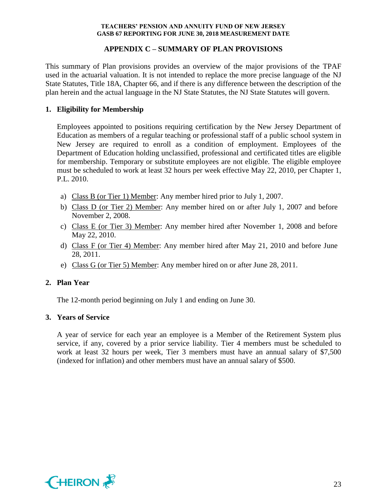## **APPENDIX C – SUMMARY OF PLAN PROVISIONS**

This summary of Plan provisions provides an overview of the major provisions of the TPAF used in the actuarial valuation. It is not intended to replace the more precise language of the NJ State Statutes, Title 18A, Chapter 66, and if there is any difference between the description of the plan herein and the actual language in the NJ State Statutes, the NJ State Statutes will govern.

## **1. Eligibility for Membership**

Employees appointed to positions requiring certification by the New Jersey Department of Education as members of a regular teaching or professional staff of a public school system in New Jersey are required to enroll as a condition of employment. Employees of the Department of Education holding unclassified, professional and certificated titles are eligible for membership. Temporary or substitute employees are not eligible. The eligible employee must be scheduled to work at least 32 hours per week effective May 22, 2010, per Chapter 1, P.L. 2010.

- a) Class B (or Tier 1) Member: Any member hired prior to July 1, 2007.
- b) Class D (or Tier 2) Member: Any member hired on or after July 1, 2007 and before November 2, 2008.
- c) Class E (or Tier 3) Member: Any member hired after November 1, 2008 and before May 22, 2010.
- d) Class F (or Tier 4) Member: Any member hired after May 21, 2010 and before June 28, 2011.
- e) Class G (or Tier 5) Member: Any member hired on or after June 28, 2011.

## **2. Plan Year**

The 12-month period beginning on July 1 and ending on June 30.

#### **3. Years of Service**

A year of service for each year an employee is a Member of the Retirement System plus service, if any, covered by a prior service liability. Tier 4 members must be scheduled to work at least 32 hours per week, Tier 3 members must have an annual salary of \$7,500 (indexed for inflation) and other members must have an annual salary of \$500.

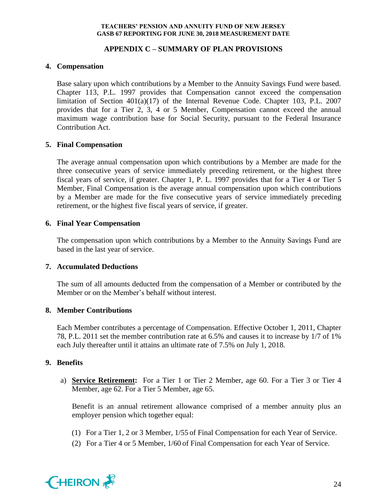## **APPENDIX C – SUMMARY OF PLAN PROVISIONS**

## **4. Compensation**

Base salary upon which contributions by a Member to the Annuity Savings Fund were based. Chapter 113, P.L. 1997 provides that Compensation cannot exceed the compensation limitation of Section 401(a)(17) of the Internal Revenue Code. Chapter 103, P.L. 2007 provides that for a Tier 2, 3, 4 or 5 Member, Compensation cannot exceed the annual maximum wage contribution base for Social Security, pursuant to the Federal Insurance Contribution Act.

## **5. Final Compensation**

The average annual compensation upon which contributions by a Member are made for the three consecutive years of service immediately preceding retirement, or the highest three fiscal years of service, if greater. Chapter 1, P. L. 1997 provides that for a Tier 4 or Tier 5 Member, Final Compensation is the average annual compensation upon which contributions by a Member are made for the five consecutive years of service immediately preceding retirement, or the highest five fiscal years of service, if greater.

## **6. Final Year Compensation**

The compensation upon which contributions by a Member to the Annuity Savings Fund are based in the last year of service.

#### **7. Accumulated Deductions**

The sum of all amounts deducted from the compensation of a Member or contributed by the Member or on the Member's behalf without interest.

## **8. Member Contributions**

Each Member contributes a percentage of Compensation. Effective October 1, 2011, Chapter 78, P.L. 2011 set the member contribution rate at 6.5% and causes it to increase by 1/7 of 1% each July thereafter until it attains an ultimate rate of 7.5% on July 1, 2018.

#### **9. Benefits**

a) **Service Retirement:** For a Tier 1 or Tier 2 Member, age 60. For a Tier 3 or Tier 4 Member, age 62. For a Tier 5 Member, age 65.

Benefit is an annual retirement allowance comprised of a member annuity plus an employer pension which together equal:

- (1) For a Tier 1, 2 or 3 Member, 1/55 of Final Compensation for each Year of Service.
- (2) For a Tier 4 or 5 Member, 1/60 of Final Compensation for each Year of Service.

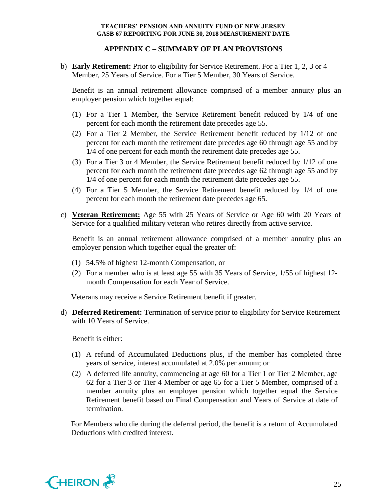## **APPENDIX C – SUMMARY OF PLAN PROVISIONS**

b) **Early Retirement:** Prior to eligibility for Service Retirement. For a Tier 1, 2, 3 or 4 Member, 25 Years of Service. For a Tier 5 Member, 30 Years of Service.

Benefit is an annual retirement allowance comprised of a member annuity plus an employer pension which together equal:

- (1) For a Tier 1 Member, the Service Retirement benefit reduced by 1/4 of one percent for each month the retirement date precedes age 55.
- (2) For a Tier 2 Member, the Service Retirement benefit reduced by 1/12 of one percent for each month the retirement date precedes age 60 through age 55 and by 1/4 of one percent for each month the retirement date precedes age 55.
- (3) For a Tier 3 or 4 Member, the Service Retirement benefit reduced by 1/12 of one percent for each month the retirement date precedes age 62 through age 55 and by 1/4 of one percent for each month the retirement date precedes age 55.
- (4) For a Tier 5 Member, the Service Retirement benefit reduced by 1/4 of one percent for each month the retirement date precedes age 65.
- c) **Veteran Retirement:** Age 55 with 25 Years of Service or Age 60 with 20 Years of Service for a qualified military veteran who retires directly from active service.

Benefit is an annual retirement allowance comprised of a member annuity plus an employer pension which together equal the greater of:

- (1) 54.5% of highest 12-month Compensation, or
- (2) For a member who is at least age 55 with 35 Years of Service, 1/55 of highest 12 month Compensation for each Year of Service.

Veterans may receive a Service Retirement benefit if greater.

d) **Deferred Retirement:** Termination of service prior to eligibility for Service Retirement with 10 Years of Service.

Benefit is either:

- (1) A refund of Accumulated Deductions plus, if the member has completed three years of service, interest accumulated at 2.0% per annum; or
- (2) A deferred life annuity, commencing at age 60 for a Tier 1 or Tier 2 Member, age 62 for a Tier 3 or Tier 4 Member or age 65 for a Tier 5 Member, comprised of a member annuity plus an employer pension which together equal the Service Retirement benefit based on Final Compensation and Years of Service at date of termination.

For Members who die during the deferral period, the benefit is a return of Accumulated Deductions with credited interest.

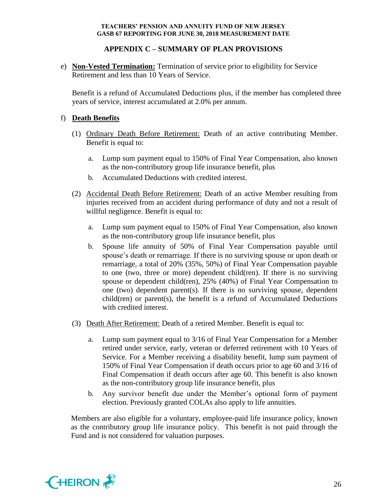## **APPENDIX C – SUMMARY OF PLAN PROVISIONS**

e) **Non-Vested Termination:** Termination of service prior to eligibility for Service Retirement and less than 10 Years of Service.

Benefit is a refund of Accumulated Deductions plus, if the member has completed three years of service, interest accumulated at 2.0% per annum.

## f) **Death Benefits**

- (1) Ordinary Death Before Retirement: Death of an active contributing Member. Benefit is equal to:
	- a. Lump sum payment equal to 150% of Final Year Compensation, also known as the non-contributory group life insurance benefit, plus
	- b. Accumulated Deductions with credited interest.
- (2) Accidental Death Before Retirement: Death of an active Member resulting from injuries received from an accident during performance of duty and not a result of willful negligence. Benefit is equal to:
	- a. Lump sum payment equal to 150% of Final Year Compensation, also known as the non-contributory group life insurance benefit, plus
	- b. Spouse life annuity of 50% of Final Year Compensation payable until spouse's death or remarriage. If there is no surviving spouse or upon death or remarriage, a total of 20% (35%, 50%) of Final Year Compensation payable to one (two, three or more) dependent child(ren). If there is no surviving spouse or dependent child(ren), 25% (40%) of Final Year Compensation to one (two) dependent parent(s). If there is no surviving spouse, dependent child(ren) or parent(s), the benefit is a refund of Accumulated Deductions with credited interest.
- (3) Death After Retirement: Death of a retired Member. Benefit is equal to:
	- a. Lump sum payment equal to 3/16 of Final Year Compensation for a Member retired under service, early, veteran or deferred retirement with 10 Years of Service. For a Member receiving a disability benefit, lump sum payment of 150% of Final Year Compensation if death occurs prior to age 60 and 3/16 of Final Compensation if death occurs after age 60. This benefit is also known as the non-contributory group life insurance benefit, plus
	- b. Any survivor benefit due under the Member's optional form of payment election. Previously granted COLAs also apply to life annuities.

Members are also eligible for a voluntary, employee-paid life insurance policy, known as the contributory group life insurance policy. This benefit is not paid through the Fund and is not considered for valuation purposes.

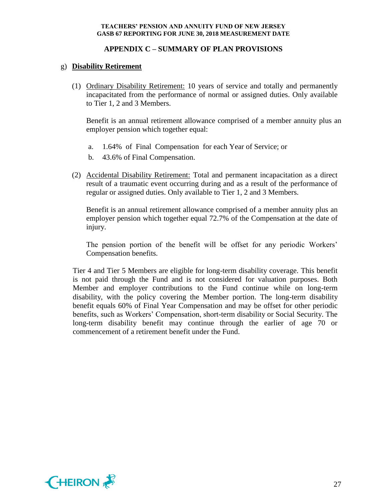## **APPENDIX C – SUMMARY OF PLAN PROVISIONS**

## g) **Disability Retirement**

(1) Ordinary Disability Retirement: 10 years of service and totally and permanently incapacitated from the performance of normal or assigned duties. Only available to Tier 1, 2 and 3 Members.

Benefit is an annual retirement allowance comprised of a member annuity plus an employer pension which together equal:

- a. 1.64% of Final Compensation for each Year of Service; or
- b. 43.6% of Final Compensation.
- (2) Accidental Disability Retirement: Total and permanent incapacitation as a direct result of a traumatic event occurring during and as a result of the performance of regular or assigned duties. Only available to Tier 1, 2 and 3 Members.

Benefit is an annual retirement allowance comprised of a member annuity plus an employer pension which together equal 72.7% of the Compensation at the date of injury.

The pension portion of the benefit will be offset for any periodic Workers' Compensation benefits.

Tier 4 and Tier 5 Members are eligible for long-term disability coverage. This benefit is not paid through the Fund and is not considered for valuation purposes. Both Member and employer contributions to the Fund continue while on long-term disability, with the policy covering the Member portion. The long-term disability benefit equals 60% of Final Year Compensation and may be offset for other periodic benefits, such as Workers' Compensation, short-term disability or Social Security. The long-term disability benefit may continue through the earlier of age 70 or commencement of a retirement benefit under the Fund.

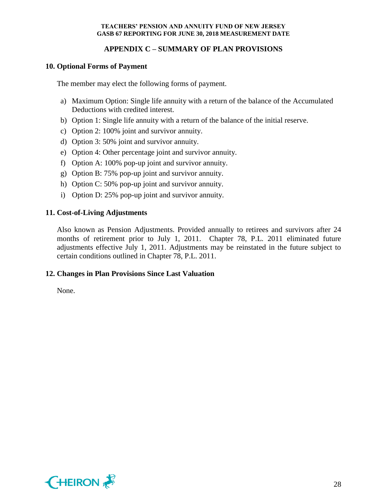## **APPENDIX C – SUMMARY OF PLAN PROVISIONS**

#### **10. Optional Forms of Payment**

The member may elect the following forms of payment.

- a) Maximum Option: Single life annuity with a return of the balance of the Accumulated Deductions with credited interest.
- b) Option 1: Single life annuity with a return of the balance of the initial reserve.
- c) Option 2: 100% joint and survivor annuity.
- d) Option 3: 50% joint and survivor annuity.
- e) Option 4: Other percentage joint and survivor annuity.
- f) Option A: 100% pop-up joint and survivor annuity.
- g) Option B: 75% pop-up joint and survivor annuity.
- h) Option C: 50% pop-up joint and survivor annuity.
- i) Option D: 25% pop-up joint and survivor annuity.

#### **11. Cost-of-Living Adjustments**

Also known as Pension Adjustments. Provided annually to retirees and survivors after 24 months of retirement prior to July 1, 2011. Chapter 78, P.L. 2011 eliminated future adjustments effective July 1, 2011. Adjustments may be reinstated in the future subject to certain conditions outlined in Chapter 78, P.L. 2011.

#### **12. Changes in Plan Provisions Since Last Valuation**

None.

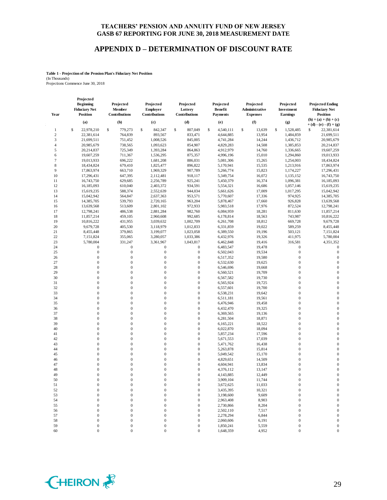#### **APPENDIX D – DETERMINATION OF DISCOUNT RATE**

#### **Table 1 - Projection of the Pension Plan's Fiduciary Net Position** (In Thousands)

Projections Commence June 30, 2018

**Projected** 

| Year             | <b>Beginning</b><br><b>Fiduciary Net</b><br><b>Position</b> |                                | Projected<br>Member<br>Contributions |                                  | Projected<br><b>Employer</b><br>Contributions | Projected<br>Lottery<br>Contributions | Projected<br><b>Benefit</b><br><b>Payments</b> | Projected<br>Administrative<br><b>Expenses</b> | Projected<br>Investment<br>Earnings  | <b>Projected Ending</b><br><b>Fiduciary Net</b><br><b>Position</b> |
|------------------|-------------------------------------------------------------|--------------------------------|--------------------------------------|----------------------------------|-----------------------------------------------|---------------------------------------|------------------------------------------------|------------------------------------------------|--------------------------------------|--------------------------------------------------------------------|
|                  | (a)                                                         |                                | (b)                                  |                                  | (c)                                           | (d)                                   | (e)                                            | (f)                                            | (g)                                  | $(h) = (a) + (b) + (c)$<br>$+ (d) - (e) - (f) + (g)$               |
| 1                | \$                                                          | 22,978,210                     | \$<br>779,273                        | \$                               | 842,347                                       | \$<br>807,049                         | \$<br>4,540,111                                | \$<br>13,639                                   | \$<br>1,528,485                      | \$<br>22,381,614                                                   |
| $\boldsymbol{2}$ |                                                             | 22,381,614                     | 764,839                              |                                  | 893,567                                       | 833,471                               | 4,644,885                                      | 13,954                                         | 1,484,859                            | 21,699,511                                                         |
| 3                |                                                             | 21,699,511                     | 751,452                              |                                  | 1,008,526                                     | 845,005                               | 4,741,284                                      | 14,244                                         | 1,436,712                            | 20,985,679                                                         |
| 4                |                                                             | 20,985,679                     | 738,565                              |                                  | 1,093,623                                     | 854,907                               | 4,829,283                                      | 14,508                                         | 1,385,853                            | 20,214,837                                                         |
| 5                |                                                             | 20,214,837                     | 725,349                              |                                  | 1,393,284                                     | 864,863                               | 4,912,979                                      | 14,760                                         | 1,336,665                            | 19,607,259                                                         |
| 6                |                                                             | 19,607,259                     | 711,367                              |                                  | 1,536,295                                     | 875,357                               | 4,996,196                                      | 15,010                                         | 1,294,860                            | 19,013,933                                                         |
| 7                |                                                             | 19,013,933                     | 696,222                              |                                  | 1,681,208                                     | 886,031                               | 5,081,306                                      | 15,265                                         | 1,254,003                            | 18,434,824                                                         |
| 8                |                                                             | 18,434,824                     | 679,410                              |                                  | 1,825,477                                     | 896,822                               | 5,170,941                                      | 15,535                                         | 1,213,916                            | 17,863,974                                                         |
| 9                |                                                             | 17,863,974                     | 663,710                              |                                  | 1,969,329                                     | 907,789                               | 5,266,774                                      | 15,823                                         | 1,174,227                            | 17,296,431                                                         |
| 10               |                                                             | 17,296,431                     | 647,395                              |                                  | 2,112,481                                     | 918,117                               | 5,349,754                                      | 16,072                                         | 1,135,152                            | 16,743,750                                                         |
| 11               |                                                             | 16,743,750                     | 629,685                              |                                  | 2,256,789                                     | 925,241                               | 5,450,379                                      | 16,374                                         | 1,096,381                            | 16,185,093                                                         |
| 12               |                                                             | 16,185,093                     | 610,040                              |                                  | 2,403,372                                     | 934,591                               | 5,554,321                                      | 16,686                                         | 1,057,146                            | 15,619,235                                                         |
| 13               |                                                             | 15,619,235                     | 588,374                              |                                  | 2,552,639                                     | 944,034                               | 5,661,626                                      | 17,009                                         | 1,017,295                            | 15,042,942                                                         |
| 14               |                                                             | 15,042,942                     | 564,847                              |                                  | 2,637,363                                     | 953,571                               | 5,770,607                                      | 17,336                                         | 974,925                              | 14,385,705                                                         |
| 15               |                                                             | 14,385,705                     | 539,793                              |                                  | 2,720,165                                     | 963,204                               | 5,878,467                                      | 17,660                                         | 926,828                              | 13,639,568                                                         |
| 16               |                                                             | 13,639,568                     | 513,609                              |                                  | 2,801,102                                     | 972,933                               | 5,983,518                                      | 17,976                                         | 872,524                              | 12,798,241                                                         |
| 17               |                                                             | 12,798,241                     | 486,538                              |                                  | 2,881,284                                     | 982,760                               | 6,084,959                                      | 18,281                                         | 811,630                              | 11,857,214                                                         |
| 18               |                                                             | 11,857,214                     | 459,105                              |                                  | 2,960,608                                     | 992,685                               | 6,178,814                                      | 18,563                                         | 743,987                              | 10,816,222                                                         |
| 19               |                                                             | 10,816,222                     | 431,955                              |                                  | 3,039,632                                     | 1,002,709                             | 6,261,708                                      | 18,812                                         | 669,728                              | 9,679,728                                                          |
| 20               |                                                             | 9,679,728                      | 405,530                              |                                  | 3,118,979                                     | 1,012,833                             | 6,331,859                                      | 19,022                                         | 589,259                              | 8,455,448                                                          |
| 21               |                                                             | 8,455,448                      | 379,865<br>355,065                   |                                  | 3,199,077                                     | 1,023,058                             | 6,389,550                                      | 19,196                                         | 503,121                              | 7,151,824                                                          |
| 22<br>23         |                                                             | 7,151,824<br>5,780,004         | 331,247                              |                                  | 3,280,057<br>3,361,967                        | 1,033,386<br>1,043,817                | 6,432,976                                      | 19,326<br>19,416                               | 411,975<br>316,581                   | 5,780,004                                                          |
| 24               |                                                             | 0                              |                                      | $\boldsymbol{0}$                 | $\mathbf{0}$                                  | $\boldsymbol{0}$                      | 6,462,848<br>6,483,547                         | 19,478                                         | $\mathbf{0}$                         | 4,351,352<br>$\boldsymbol{0}$                                      |
| 25               |                                                             | $\boldsymbol{0}$               |                                      | $\boldsymbol{0}$                 | $\boldsymbol{0}$                              | $\boldsymbol{0}$                      | 6,502,043                                      | 19,534                                         | $\boldsymbol{0}$                     | $\boldsymbol{0}$                                                   |
| 26               |                                                             | $\boldsymbol{0}$               |                                      | $\boldsymbol{0}$                 | $\boldsymbol{0}$                              | $\boldsymbol{0}$                      | 6,517,352                                      | 19,580                                         | $\boldsymbol{0}$                     | $\boldsymbol{0}$                                                   |
| 27               |                                                             | 0                              |                                      | $\boldsymbol{0}$                 | $\mathbf{0}$                                  | $\boldsymbol{0}$                      | 6,532,630                                      | 19,625                                         | $\boldsymbol{0}$                     | $\mathbf{0}$                                                       |
| 28               |                                                             | $\mathbf{0}$                   |                                      | $\boldsymbol{0}$                 | $\boldsymbol{0}$                              | $\boldsymbol{0}$                      | 6,546,696                                      | 19,668                                         | $\boldsymbol{0}$                     | $\mathbf{0}$                                                       |
| 29               |                                                             | $\boldsymbol{0}$               |                                      | $\boldsymbol{0}$                 | $\boldsymbol{0}$                              | $\boldsymbol{0}$                      | 6,560,521                                      | 19,709                                         | $\boldsymbol{0}$                     | $\mathbf{0}$                                                       |
| 30               |                                                             | $\overline{0}$                 |                                      | $\boldsymbol{0}$                 | $\mathbf{0}$                                  | $\boldsymbol{0}$                      | 6,567,582                                      | 19,730                                         | $\boldsymbol{0}$                     | $\mathbf{0}$                                                       |
| 31               |                                                             | $\bf{0}$                       |                                      | $\mathbf{0}$                     | $\boldsymbol{0}$                              | $\boldsymbol{0}$                      | 6,565,924                                      | 19,725                                         | $\boldsymbol{0}$                     | $\mathbf{0}$                                                       |
| 32               |                                                             | $\boldsymbol{0}$               |                                      | $\overline{0}$                   | $\boldsymbol{0}$                              | $\boldsymbol{0}$                      | 6,557,601                                      | 19,700                                         | $\boldsymbol{0}$                     | $\mathbf{0}$                                                       |
| 33               |                                                             | $\bf{0}$                       |                                      | $\boldsymbol{0}$                 | $\mathbf{0}$                                  | $\boldsymbol{0}$                      | 6,538,231                                      | 19,642                                         | $\boldsymbol{0}$                     | $\mathbf{0}$                                                       |
| 34               |                                                             | $\mathbf{0}$                   |                                      | $\mathbf{0}$                     | $\boldsymbol{0}$                              | $\boldsymbol{0}$                      | 6,511,181                                      | 19,561                                         | $\boldsymbol{0}$                     | $\mathbf{0}$                                                       |
| 35               |                                                             | $\boldsymbol{0}$               |                                      | $\boldsymbol{0}$                 | $\boldsymbol{0}$                              | $\boldsymbol{0}$                      | 6,476,946                                      | 19,458                                         | $\boldsymbol{0}$                     | $\mathbf{0}$                                                       |
| 36               |                                                             | 0                              |                                      | $\boldsymbol{0}$                 | $\boldsymbol{0}$                              | $\boldsymbol{0}$                      | 6,432,470                                      | 19,325                                         | $\boldsymbol{0}$                     | $\mathbf{0}$                                                       |
| 37               |                                                             | $\boldsymbol{0}$               |                                      | $\overline{0}$                   | $\boldsymbol{0}$                              | $\boldsymbol{0}$                      | 6,369,565                                      | 19,136                                         | $\boldsymbol{0}$                     | $\mathbf{0}$                                                       |
| 38               |                                                             | $\bf{0}$                       |                                      | $\mathbf{0}$                     | $\boldsymbol{0}$                              | $\boldsymbol{0}$                      | 6,281,504                                      | 18,871                                         | $\boldsymbol{0}$                     | $\mathbf{0}$                                                       |
| 39               |                                                             | $\mathbf{0}$                   |                                      | $\mathbf{0}$                     | $\mathbf{0}$                                  | $\boldsymbol{0}$                      | 6,165,221                                      | 18,522                                         | $\boldsymbol{0}$                     | $\mathbf{0}$                                                       |
| 40               |                                                             | 0                              |                                      | $\mathbf{0}$                     | $\boldsymbol{0}$                              | $\boldsymbol{0}$                      | 6,022,870                                      | 18,094                                         | $\boldsymbol{0}$                     | $\mathbf{0}$                                                       |
| 41               |                                                             | $\mathbf{0}$                   |                                      | $\boldsymbol{0}$                 | $\boldsymbol{0}$                              | $\boldsymbol{0}$                      | 5,857,234                                      | 17,596                                         | $\boldsymbol{0}$                     | $\mathbf{0}$                                                       |
| 42               |                                                             | $\mathbf{0}$                   |                                      | $\overline{0}$                   | $\mathbf{0}$                                  | $\mathbf{0}$                          | 5,671,553                                      | 17,039                                         | $\boldsymbol{0}$                     | $\mathbf{0}$<br>$\mathbf{0}$                                       |
| 43<br>44         |                                                             | $\overline{0}$<br>$\mathbf{0}$ |                                      | $\boldsymbol{0}$<br>$\mathbf{0}$ | $\boldsymbol{0}$<br>$\boldsymbol{0}$          | $\boldsymbol{0}$<br>$\boldsymbol{0}$  | 5,471,762<br>5,263,878                         | 16,438<br>15,814                               | $\boldsymbol{0}$<br>$\boldsymbol{0}$ | $\boldsymbol{0}$                                                   |
| 45               |                                                             | $\mathbf{0}$                   |                                      | $\mathbf{0}$                     | $\boldsymbol{0}$                              | $\boldsymbol{0}$                      | 5,049,542                                      | 15,170                                         | $\boldsymbol{0}$                     | $\mathbf{0}$                                                       |
| 46               |                                                             | $\overline{0}$                 |                                      | $\boldsymbol{0}$                 | $\boldsymbol{0}$                              | $\boldsymbol{0}$                      | 4,829,651                                      | 14,509                                         | $\boldsymbol{0}$                     | $\mathbf{0}$                                                       |
| 47               |                                                             | $\overline{0}$                 |                                      | $\mathbf{0}$                     | $\mathbf{0}$                                  | $\boldsymbol{0}$                      | 4,604,941                                      | 13,834                                         | $\mathbf{0}$                         | $\boldsymbol{0}$                                                   |
| 48               |                                                             | $\overline{0}$                 |                                      | $\overline{0}$                   | $\boldsymbol{0}$                              | $\boldsymbol{0}$                      | 4,376,112                                      | 13,147                                         | $\boldsymbol{0}$                     | $\mathbf{0}$                                                       |
| 49               |                                                             | $\overline{0}$                 |                                      | $\mathbf{0}$                     | $\boldsymbol{0}$                              | $\boldsymbol{0}$                      | 4,143,885                                      | 12,449                                         | $\mathbf{0}$                         | $\boldsymbol{0}$                                                   |
| 50               |                                                             | $\overline{0}$                 |                                      | $\mathbf 0$                      | $\boldsymbol{0}$                              | $\boldsymbol{0}$                      | 3,909,104                                      | 11,744                                         | $\mathbf{0}$                         | $\boldsymbol{0}$                                                   |
| $\mathcal{L}$    |                                                             |                                |                                      |                                  |                                               | O                                     | 3,672,625                                      | 11,033                                         |                                      |                                                                    |
| 52               |                                                             | 0                              |                                      | $\boldsymbol{0}$                 | $\boldsymbol{0}$                              | $\boldsymbol{0}$                      | 3,435,395                                      | 10,321                                         | $\mathbf{0}$                         | $\mathbf{0}$                                                       |
| 53               |                                                             | 0                              |                                      | 0                                | $\boldsymbol{0}$                              | $\boldsymbol{0}$                      | 3,198,600                                      | 9,609                                          | $\boldsymbol{0}$                     | $\mathbf{0}$                                                       |
| 54               |                                                             | 0                              |                                      | 0                                | $\boldsymbol{0}$                              | $\boldsymbol{0}$                      | 2,963,408                                      | 8,903                                          | $\boldsymbol{0}$                     | $\mathbf{0}$                                                       |
| 55               |                                                             | 0                              |                                      | $\boldsymbol{0}$                 | $\boldsymbol{0}$                              | $\boldsymbol{0}$                      | 2,730,866                                      | 8,204                                          | $\boldsymbol{0}$                     | $\mathbf{0}$                                                       |
| 56               |                                                             | 0                              |                                      | 0                                | $\boldsymbol{0}$                              | $\boldsymbol{0}$                      | 2,502,110                                      | 7,517                                          | $\mathbf{0}$                         | $\mathbf{0}$                                                       |
| 57               |                                                             | 0                              |                                      | 0                                | $\mathbf{0}$                                  | $\boldsymbol{0}$                      | 2,278,294                                      | 6,844                                          | $\mathbf{0}$                         | $\mathbf{0}$                                                       |
| 58               |                                                             | 0                              |                                      | $\boldsymbol{0}$                 | $\bf{0}$                                      | $\boldsymbol{0}$                      | 2,060,606                                      | 6,191                                          | $\mathbf{0}$                         | $\boldsymbol{0}$                                                   |
| 59               |                                                             | 0                              |                                      | $\boldsymbol{0}$                 | $\boldsymbol{0}$                              | $\boldsymbol{0}$                      | 1,850,241                                      | 5,559                                          | $\boldsymbol{0}$                     | $\boldsymbol{0}$                                                   |
| 60               |                                                             | $\boldsymbol{0}$               |                                      | $\boldsymbol{0}$                 | $\boldsymbol{0}$                              | $\boldsymbol{0}$                      | 1,648,359                                      | 4,952                                          | $\boldsymbol{0}$                     | $\boldsymbol{0}$                                                   |

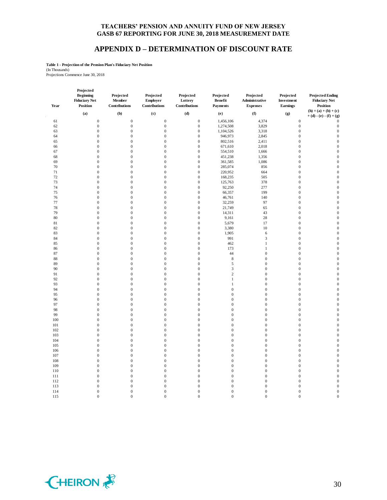#### **APPENDIX D – DETERMINATION OF DISCOUNT RATE**

**Table 1 - Projection of the Pension Plan's Fiduciary Net Position**

(In Thousands) Projections Commence June 30, 2018

| Year | Projected<br><b>Beginning</b><br><b>Fiduciary Net</b><br><b>Position</b> | Projected<br>Member<br>Contributions | Projected<br>Employer<br>Contributions | Projected<br>Lottery<br>Contributions | Projected<br><b>Benefit</b><br>Payments | Projected<br>Administrative<br><b>Expenses</b> | Projected<br>Investment<br>Earnings | <b>Projected Ending</b><br><b>Fiduciary Net</b><br><b>Position</b> |
|------|--------------------------------------------------------------------------|--------------------------------------|----------------------------------------|---------------------------------------|-----------------------------------------|------------------------------------------------|-------------------------------------|--------------------------------------------------------------------|
|      | (a)                                                                      | (b)                                  | (c)                                    | (d)                                   | (e)                                     | (f)                                            | (g)                                 | $(h) = (a) + (b) + (c)$<br>$+ (d) - (e) - (f) + (g)$               |
| 61   | $\boldsymbol{0}$                                                         | $\boldsymbol{0}$                     | $\mathbf{0}$                           | $\boldsymbol{0}$                      | 1,456,106                               | 4,374                                          | $\mathbf{0}$                        | $\theta$                                                           |
| 62   | $\boldsymbol{0}$                                                         | $\boldsymbol{0}$                     | $\mathbf{0}$                           | $\boldsymbol{0}$                      | 1,274,508                               | 3,829                                          | $\mathbf{0}$                        | $\boldsymbol{0}$                                                   |
| 63   | $\boldsymbol{0}$                                                         | $\boldsymbol{0}$                     | $\boldsymbol{0}$                       | $\boldsymbol{0}$                      | 1,104,526                               | 3,318                                          | $\mathbf{0}$                        | $\mathbf{0}$                                                       |
| 64   | $\boldsymbol{0}$                                                         | $\boldsymbol{0}$                     | $\boldsymbol{0}$                       | $\boldsymbol{0}$                      | 946,973                                 | 2,845                                          | $\boldsymbol{0}$                    | $\overline{0}$                                                     |
|      | $\boldsymbol{0}$                                                         |                                      | $\mathbf{0}$                           | $\boldsymbol{0}$                      |                                         |                                                | $\boldsymbol{0}$                    | $\mathbf{0}$                                                       |
| 65   |                                                                          | $\boldsymbol{0}$                     | $\mathbf{0}$                           |                                       | 802,516                                 | 2,411                                          | $\boldsymbol{0}$                    | $\mathbf{0}$                                                       |
| 66   | $\boldsymbol{0}$                                                         | $\boldsymbol{0}$                     |                                        | $\boldsymbol{0}$                      | 671,610                                 | 2,018                                          |                                     |                                                                    |
| 67   | $\boldsymbol{0}$                                                         | $\boldsymbol{0}$                     | $\boldsymbol{0}$                       | $\boldsymbol{0}$                      | 554,510                                 | 1,666                                          | $\boldsymbol{0}$                    | $\mathbf{0}$                                                       |
| 68   | $\boldsymbol{0}$                                                         | $\boldsymbol{0}$                     | $\boldsymbol{0}$                       | $\boldsymbol{0}$                      | 451,238                                 | 1,356                                          | $\boldsymbol{0}$                    | $\mathbf{0}$                                                       |
| 69   | $\boldsymbol{0}$                                                         | $\boldsymbol{0}$                     | $\boldsymbol{0}$                       | $\boldsymbol{0}$                      | 361,585                                 | 1,086                                          | $\boldsymbol{0}$                    | $\boldsymbol{0}$                                                   |
| 70   | $\overline{0}$                                                           | $\boldsymbol{0}$                     | $\boldsymbol{0}$                       | $\boldsymbol{0}$                      | 285,074                                 | 856                                            | $\boldsymbol{0}$                    | $\boldsymbol{0}$                                                   |
| 71   | $\overline{0}$                                                           | $\overline{0}$                       | $\mathbf{0}$                           | $\mathbf{0}$                          | 220,952                                 | 664                                            | $\mathbf{0}$                        | $\mathbf{0}$                                                       |
| 72   | $\overline{0}$                                                           | $\mathbf{0}$                         | $\mathbf{0}$                           | $\mathbf{0}$                          | 168,235                                 | 505                                            | $\mathbf{0}$                        | $\mathbf{0}$                                                       |
| 73   | $\boldsymbol{0}$                                                         | $\boldsymbol{0}$                     | $\mathbf{0}$                           | $\boldsymbol{0}$                      | 125,763                                 | 378                                            | $\boldsymbol{0}$                    | $\mathbf{0}$                                                       |
| 74   | $\boldsymbol{0}$                                                         | $\boldsymbol{0}$                     | $\boldsymbol{0}$                       | $\boldsymbol{0}$                      | 92,250                                  | 277                                            | $\boldsymbol{0}$                    | $\overline{0}$                                                     |
| 75   | $\boldsymbol{0}$                                                         | $\boldsymbol{0}$                     | $\mathbf{0}$                           | $\boldsymbol{0}$                      | 66,357                                  | 199                                            | $\boldsymbol{0}$                    | $\boldsymbol{0}$                                                   |
| 76   | $\boldsymbol{0}$                                                         | $\boldsymbol{0}$                     | $\mathbf{0}$                           | $\boldsymbol{0}$                      | 46,761                                  | 140                                            | $\boldsymbol{0}$                    | $\boldsymbol{0}$                                                   |
| 77   | $\boldsymbol{0}$                                                         | $\boldsymbol{0}$                     | $\mathbf{0}$                           | $\boldsymbol{0}$                      | 32,259                                  | 97                                             | $\boldsymbol{0}$                    | $\mathbf{0}$                                                       |
| 78   | $\boldsymbol{0}$                                                         | $\boldsymbol{0}$                     | $\boldsymbol{0}$                       | $\boldsymbol{0}$                      | 21,749                                  | 65                                             | $\boldsymbol{0}$                    | $\boldsymbol{0}$                                                   |
| 79   | $\boldsymbol{0}$                                                         | $\boldsymbol{0}$                     | $\boldsymbol{0}$                       | $\boldsymbol{0}$                      | 14,311                                  | 43                                             | $\boldsymbol{0}$                    | $\mathbf{0}$                                                       |
| 80   | $\boldsymbol{0}$                                                         | $\boldsymbol{0}$                     | $\mathbf{0}$                           | $\boldsymbol{0}$                      | 9,161                                   | $28\,$                                         | $\boldsymbol{0}$                    | $\mathbf{0}$                                                       |
| 81   | $\boldsymbol{0}$                                                         | $\boldsymbol{0}$                     | $\mathbf{0}$                           | $\boldsymbol{0}$                      | 5,679                                   | 17                                             | $\boldsymbol{0}$                    | $\boldsymbol{0}$                                                   |
| 82   | $\boldsymbol{0}$                                                         | $\boldsymbol{0}$                     | $\mathbf{0}$                           | $\boldsymbol{0}$                      | 3,380                                   | $10\,$                                         | $\boldsymbol{0}$                    | $\mathbf{0}$                                                       |
| 83   | $\boldsymbol{0}$                                                         | $\boldsymbol{0}$                     | $\mathbf{0}$                           | $\boldsymbol{0}$                      | 1,905                                   | 6                                              | $\boldsymbol{0}$                    | $\overline{0}$                                                     |
| 84   | $\boldsymbol{0}$                                                         | $\boldsymbol{0}$                     | $\boldsymbol{0}$                       | $\boldsymbol{0}$                      | 991                                     | $\mathfrak{Z}$                                 | $\boldsymbol{0}$                    | $\boldsymbol{0}$                                                   |
| 85   | $\boldsymbol{0}$                                                         | $\boldsymbol{0}$                     | $\mathbf{0}$                           | $\boldsymbol{0}$                      | 462                                     | $\mathbf{1}$                                   | $\overline{0}$                      | $\mathbf{0}$                                                       |
| 86   | $\boldsymbol{0}$                                                         | $\boldsymbol{0}$                     | $\mathbf{0}$                           | $\boldsymbol{0}$                      | 173                                     | $\mathbf{1}$                                   | $\boldsymbol{0}$                    | $\mathbf{0}$                                                       |
| 87   | $\boldsymbol{0}$                                                         | $\boldsymbol{0}$                     | $\mathbf{0}$                           | $\boldsymbol{0}$                      | 44                                      | $\boldsymbol{0}$                               | $\boldsymbol{0}$                    | $\mathbf{0}$                                                       |
| 88   | $\boldsymbol{0}$                                                         | $\boldsymbol{0}$                     | $\mathbf{0}$                           | $\boldsymbol{0}$                      | $\,$ 8 $\,$                             | $\boldsymbol{0}$                               | $\boldsymbol{0}$                    | $\mathbf{0}$                                                       |
| 89   | $\boldsymbol{0}$                                                         | $\boldsymbol{0}$                     | $\mathbf{0}$                           | $\boldsymbol{0}$                      | 5                                       | $\boldsymbol{0}$                               | $\mathbf{0}$                        | $\mathbf{0}$                                                       |
| 90   | $\boldsymbol{0}$                                                         | $\boldsymbol{0}$                     | $\mathbf{0}$                           | $\boldsymbol{0}$                      | $\overline{3}$                          | $\boldsymbol{0}$                               | $\boldsymbol{0}$                    | $\mathbf{0}$                                                       |
| 91   | $\boldsymbol{0}$                                                         | $\boldsymbol{0}$                     | $\mathbf{0}$                           | $\mathbf{0}$                          | 2                                       | $\boldsymbol{0}$                               | $\mathbf{0}$                        | $\mathbf{0}$                                                       |
| 92   | $\overline{0}$                                                           | $\boldsymbol{0}$                     | $\mathbf{0}$                           | $\boldsymbol{0}$                      | $\mathbf{1}$                            | $\boldsymbol{0}$                               | $\mathbf{0}$                        | $\mathbf{0}$                                                       |
| 93   | 0                                                                        | $\boldsymbol{0}$                     | $\mathbf{0}$                           | $\boldsymbol{0}$                      | $\mathbf{1}$                            | $\boldsymbol{0}$                               | $\boldsymbol{0}$                    | $\boldsymbol{0}$                                                   |
| 94   | 0                                                                        | $\boldsymbol{0}$                     | $\boldsymbol{0}$                       | $\boldsymbol{0}$                      | $\boldsymbol{0}$                        | $\boldsymbol{0}$                               | $\boldsymbol{0}$                    | $\overline{0}$                                                     |
| 95   | $\boldsymbol{0}$                                                         | $\boldsymbol{0}$                     | $\boldsymbol{0}$                       | $\boldsymbol{0}$                      | $\boldsymbol{0}$                        | $\boldsymbol{0}$                               | $\boldsymbol{0}$                    | $\boldsymbol{0}$                                                   |
| 96   | $\boldsymbol{0}$                                                         | $\boldsymbol{0}$                     | $\boldsymbol{0}$                       | $\boldsymbol{0}$                      | $\mathbf{0}$                            | $\boldsymbol{0}$                               | $\boldsymbol{0}$                    | $\mathbf{0}$                                                       |
| 97   | $\mathbf{0}$                                                             | $\boldsymbol{0}$                     | $\boldsymbol{0}$                       | $\boldsymbol{0}$                      | $\boldsymbol{0}$                        | $\boldsymbol{0}$                               | $\boldsymbol{0}$                    | $\boldsymbol{0}$                                                   |
| 98   | $\boldsymbol{0}$                                                         | $\boldsymbol{0}$                     | $\boldsymbol{0}$                       | $\boldsymbol{0}$                      | $\boldsymbol{0}$                        | $\boldsymbol{0}$                               | $\boldsymbol{0}$                    | $\boldsymbol{0}$                                                   |
| 99   | $\boldsymbol{0}$                                                         | $\boldsymbol{0}$                     | $\boldsymbol{0}$                       | $\boldsymbol{0}$                      | $\boldsymbol{0}$                        | $\boldsymbol{0}$                               | $\boldsymbol{0}$                    | $\boldsymbol{0}$                                                   |
| 100  | $\overline{0}$                                                           | $\boldsymbol{0}$                     | $\mathbf{0}$                           | $\boldsymbol{0}$                      | $\mathbf{0}$                            | $\boldsymbol{0}$                               | $\boldsymbol{0}$                    | $\mathbf{0}$                                                       |
| 101  | $\overline{0}$                                                           | $\boldsymbol{0}$                     | $\mathbf{0}$                           | $\boldsymbol{0}$                      | $\mathbf{0}$                            | $\boldsymbol{0}$                               | $\boldsymbol{0}$                    | $\mathbf{0}$                                                       |
| 102  | $\overline{0}$                                                           | $\overline{0}$                       | $\mathbf{0}$                           | $\mathbf{0}$                          | $\mathbf{0}$                            | $\boldsymbol{0}$                               | $\mathbf{0}$                        | $\mathbf{0}$                                                       |
| 103  | $\mathbf{0}$                                                             | $\boldsymbol{0}$                     | $\mathbf{0}$                           | $\boldsymbol{0}$                      | $\mathbf{0}$                            | $\boldsymbol{0}$                               | $\mathbf{0}$                        | $\mathbf{0}$                                                       |
| 104  | $\boldsymbol{0}$                                                         | $\boldsymbol{0}$                     | $\mathbf{0}$                           | $\boldsymbol{0}$                      | $\boldsymbol{0}$                        | $\boldsymbol{0}$                               | $\boldsymbol{0}$                    | $\mathbf{0}$                                                       |
| 105  | $\boldsymbol{0}$                                                         | $\boldsymbol{0}$                     | $\boldsymbol{0}$                       | $\boldsymbol{0}$                      | $\boldsymbol{0}$                        | $\boldsymbol{0}$                               | $\boldsymbol{0}$                    | $\mathbf{0}$                                                       |
| 106  | $\boldsymbol{0}$                                                         | $\boldsymbol{0}$                     | $\mathbf{0}$                           | $\boldsymbol{0}$                      | $\boldsymbol{0}$                        | $\boldsymbol{0}$                               | $\boldsymbol{0}$                    | $\boldsymbol{0}$                                                   |
| 107  | $\boldsymbol{0}$                                                         | $\boldsymbol{0}$                     | $\mathbf{0}$                           | $\mathbf 0$                           | $\mathbf 0$                             | $\boldsymbol{0}$                               | $\mathbf{0}$                        | $\mathbf{0}$                                                       |
| 108  | $\boldsymbol{0}$                                                         | $\boldsymbol{0}$                     | $\boldsymbol{0}$                       | $\boldsymbol{0}$                      | $\boldsymbol{0}$                        | $\boldsymbol{0}$                               | $\boldsymbol{0}$                    | $\boldsymbol{0}$                                                   |
| 109  | $\boldsymbol{0}$                                                         | $\boldsymbol{0}$                     | $\boldsymbol{0}$                       | $\boldsymbol{0}$                      | $\boldsymbol{0}$                        | $\boldsymbol{0}$                               | $\boldsymbol{0}$                    | $\overline{0}$                                                     |
| 110  | $\boldsymbol{0}$                                                         | $\boldsymbol{0}$                     | $\boldsymbol{0}$                       | $\boldsymbol{0}$                      | $\boldsymbol{0}$                        | $\boldsymbol{0}$                               | $\boldsymbol{0}$                    | $\overline{0}$                                                     |
| 111  | $\boldsymbol{0}$                                                         | $\boldsymbol{0}$                     | $\boldsymbol{0}$                       | $\boldsymbol{0}$                      | $\mathbf{0}$                            | $\boldsymbol{0}$                               | $\boldsymbol{0}$                    | $\boldsymbol{0}$                                                   |
|      |                                                                          |                                      |                                        |                                       |                                         |                                                |                                     |                                                                    |
| 112  | $\boldsymbol{0}$                                                         | $\boldsymbol{0}$                     | $\boldsymbol{0}$                       | $\boldsymbol{0}$<br>$\mathbf{0}$      | $\mathbf{0}$                            | $\boldsymbol{0}$                               | $\boldsymbol{0}$                    | $\boldsymbol{0}$                                                   |
| 113  | $\overline{0}$                                                           | $\mathbf 0$                          | $\overline{0}$                         |                                       | $\mathbf{0}$                            | $\boldsymbol{0}$                               | $\mathbf{0}$                        | $\mathbf{0}$                                                       |
| 114  | $\overline{0}$                                                           | $\overline{0}$                       | $\overline{0}$                         | $\mathbf{0}$                          | $\mathbf{0}$                            | $\overline{0}$                                 | $\overline{0}$                      | $\overline{0}$                                                     |
| 115  | $\overline{0}$                                                           | $\overline{0}$                       | $\Omega$                               | $\mathbf{0}$                          | $\Omega$                                | $\overline{0}$                                 | $\theta$                            | $\mathbf{0}$                                                       |

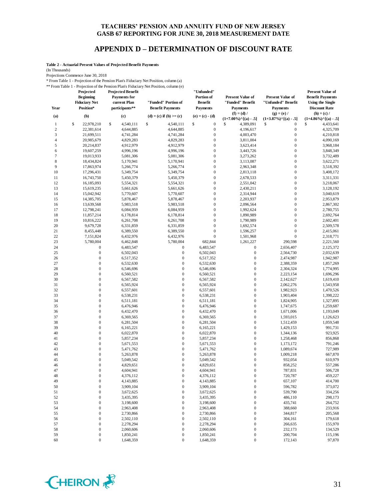#### **APPENDIX D – DETERMINATION OF DISCOUNT RATE**

**Table 2 - Actuarial Present Values of Projected Benefit Payments**

(In Thousands)

Projections Commence June 30, 2018

\* From Table 1 - Projection of the Pension Plan's Fiduciary Net Position, column (a) \*\* From Table 1 - Projection of the Pension Plan's Fiduciary Net Position, column (e)

|                  | Projected<br><b>Beginning</b><br><b>Fiduciary Net</b> | <b>Projected Benefit</b><br><b>Payments</b> for<br>current Plan | "Funded" Portion of                  | "Unfunded"<br>Portion of<br><b>Benefit</b> | <b>Present Value of</b><br>"Funded" Benefit           | <b>Present Value of</b><br>"Unfunded" Benefit         | <b>Present Value of</b><br><b>Benefit Payments</b><br><b>Using the Single</b> |
|------------------|-------------------------------------------------------|-----------------------------------------------------------------|--------------------------------------|--------------------------------------------|-------------------------------------------------------|-------------------------------------------------------|-------------------------------------------------------------------------------|
| Year             | Position*                                             | participants**                                                  | <b>Benefit Payments</b>              | <b>Payments</b>                            | <b>Payments</b>                                       | <b>Payments</b>                                       | <b>Discount Rate</b>                                                          |
| (a)              | (b)                                                   | (c)                                                             | (d) = (c) if (b) >= (c)              | $(e) = (c) - (d)$                          | $(f) = (d) /$<br>$(1+7.00\%)$ <sup>^</sup> [(a) - .5] | $(g) = (e) /$<br>$(1+3.87\%)$ <sup>^</sup> [(a) - .5] | $(h) = (c) /$<br>$(1+4.86\%)$ <sup>^</sup> [(a) - .5]                         |
| $\mathbf{1}$     | \$<br>22,978,210                                      | 4,540,111<br>\$                                                 | \$<br>4,540,111                      | \$<br>$\boldsymbol{0}$                     | S<br>4,389,091                                        | \$<br>$\boldsymbol{0}$                                | \$<br>4,433,641                                                               |
| $\boldsymbol{2}$ | 22,381,614                                            | 4,644,885                                                       | 4,644,885                            | $\boldsymbol{0}$                           | 4,196,617                                             | $\boldsymbol{0}$                                      | 4,325,709                                                                     |
| 3                | 21,699,511                                            | 4,741,284                                                       | 4,741,284                            | $\boldsymbol{0}$                           | 4,003,470                                             | $\boldsymbol{0}$                                      | 4,210,818                                                                     |
| $\overline{4}$   | 20,985,679                                            | 4,829,283                                                       | 4,829,283                            | $\boldsymbol{0}$                           | 3,811,004                                             | $\boldsymbol{0}$                                      | 4,090,169                                                                     |
| 5                | 20,214,837                                            | 4,912,979                                                       | 4,912,979                            | $\boldsymbol{0}$                           | 3,623,414                                             | $\boldsymbol{0}$                                      | 3,968,184                                                                     |
| 6                | 19,607,259                                            | 4,996,196                                                       | 4,996,196                            | $\boldsymbol{0}$                           | 3,443,726                                             | $\boldsymbol{0}$                                      | 3,848,349                                                                     |
| $\tau$           | 19,013,933                                            | 5,081,306                                                       | 5,081,306                            | $\boldsymbol{0}$                           | 3,273,262                                             | $\boldsymbol{0}$                                      | 3,732,489                                                                     |
| 8                | 18,434,824                                            | 5,170,941                                                       | 5,170,941                            | $\boldsymbol{0}$                           | 3,113,087                                             | $\boldsymbol{0}$                                      | 3,622,271                                                                     |
| 9                | 17,863,974                                            | 5,266,774                                                       | 5,266,774                            | $\boldsymbol{0}$                           | 2,963,348                                             | $\boldsymbol{0}$                                      | 3,518,392                                                                     |
| 10               | 17,296,431                                            | 5,349,754                                                       | 5,349,754                            | $\boldsymbol{0}$                           | 2,813,118                                             | $\boldsymbol{0}$                                      | 3,408,172                                                                     |
| 11               | 16,743,750                                            | 5,450,379                                                       | 5,450,379                            | $\boldsymbol{0}$                           | 2,678,533                                             | $\boldsymbol{0}$                                      | 3,311,331                                                                     |
| 12               | 16,185,093                                            | 5,554,321                                                       | 5,554,321                            | $\boldsymbol{0}$                           | 2,551,042                                             | $\boldsymbol{0}$                                      | 3,218,067                                                                     |
| 13               | 15,619,235                                            | 5,661,626                                                       | 5,661,626                            | $\boldsymbol{0}$                           | 2,430,211                                             | $\boldsymbol{0}$                                      | 3,128,192                                                                     |
| 14               | 15,042,942                                            | 5,770,607                                                       | 5,770,607                            | $\boldsymbol{0}$                           | 2,314,944                                             | $\boldsymbol{0}$                                      | 3,040,619                                                                     |
| 15               | 14,385,705                                            | 5,878,467                                                       | 5,878,467                            | $\boldsymbol{0}$                           | 2,203,937                                             | $\boldsymbol{0}$                                      | 2,953,879                                                                     |
| 16               | 13,639,568                                            | 5,983,518                                                       | 5,983,518                            | $\boldsymbol{0}$<br>$\boldsymbol{0}$       | 2,096,564                                             | $\boldsymbol{0}$<br>$\boldsymbol{0}$                  | 2,867,302                                                                     |
| 17               | 12,798,241                                            | 6,084,959                                                       | 6,084,959                            | $\boldsymbol{0}$                           | 1,992,624                                             | $\boldsymbol{0}$                                      | 2,780,755                                                                     |
| 18<br>19         | 11,857,214<br>10,816,222                              | 6,178,814<br>6,261,708                                          | 6,178,814<br>6,261,708               | $\boldsymbol{0}$                           | 1,890,989<br>1,790,989                                | $\boldsymbol{0}$                                      | 2,692,764<br>2,602,401                                                        |
| 20               | 9,679,728                                             | 6,331,859                                                       | 6,331,859                            | $\boldsymbol{0}$                           | 1,692,574                                             | $\boldsymbol{0}$                                      | 2,509,578                                                                     |
| 21               | 8,455,448                                             | 6,389,550                                                       | 6,389,550                            | $\boldsymbol{0}$                           | 1,596,257                                             | $\boldsymbol{0}$                                      | 2,415,061                                                                     |
| 22               | 7,151,824                                             | 6,432,976                                                       | 6,432,976                            | $\boldsymbol{0}$                           | 1,501,968                                             | $\boldsymbol{0}$                                      | 2,318,771                                                                     |
| 23               | 5,780,004                                             | 6,462,848                                                       | 5,780,004                            | 682,844                                    | 1,261,227                                             | 290,598                                               | 2,221,560                                                                     |
| 24               | $\boldsymbol{0}$                                      | 6,483,547                                                       | $\boldsymbol{0}$                     | 6,483,547                                  | $\boldsymbol{0}$                                      | 2,656,407                                             | 2,125,372                                                                     |
| 25               | $\boldsymbol{0}$                                      | 6,502,043                                                       | $\boldsymbol{0}$                     | 6,502,043                                  | $\boldsymbol{0}$                                      | 2,564,730                                             | 2,032,639                                                                     |
| 26               | $\boldsymbol{0}$                                      | 6,517,352                                                       | $\boldsymbol{0}$                     | 6,517,352                                  | $\overline{0}$                                        | 2,474,987                                             | 1,942,987                                                                     |
| 27               | $\boldsymbol{0}$                                      | 6,532,630                                                       | $\boldsymbol{0}$                     | 6,532,630                                  | $\overline{0}$                                        | 2,388,359                                             | 1,857,269                                                                     |
| 28               | $\boldsymbol{0}$                                      | 6,546,696                                                       | $\boldsymbol{0}$                     | 6,546,696                                  | $\bf{0}$                                              | 2,304,324                                             | 1,774,995                                                                     |
| 29               | $\mathbf{0}$                                          | 6,560,521                                                       | $\boldsymbol{0}$                     | 6,560,521                                  | $\bf{0}$                                              | 2,223,154                                             | 1,696,296                                                                     |
| 30               | $\boldsymbol{0}$                                      | 6,567,582                                                       | $\boldsymbol{0}$                     | 6,567,582                                  | $\bf{0}$                                              | 2,142,627                                             | 1,619,410                                                                     |
| 31               | $\boldsymbol{0}$                                      | 6,565,924                                                       | $\boldsymbol{0}$                     | 6,565,924                                  | $\bf{0}$                                              | 2,062,276                                             | 1,543,958                                                                     |
| 32               | $\mathbf{0}$                                          | 6,557,601                                                       | $\mathbf{0}$                         | 6,557,601                                  | $\overline{0}$                                        | 1,982,923                                             | 1,470,526                                                                     |
| 33               | $\boldsymbol{0}$                                      | 6,538,231                                                       | $\boldsymbol{0}$                     | 6,538,231                                  | $\overline{0}$                                        | 1,903,404                                             | 1,398,222                                                                     |
| 34               | $\boldsymbol{0}$                                      | 6,511,181                                                       | $\boldsymbol{0}$                     | 6,511,181                                  | $\bf{0}$                                              | 1,824,905                                             | 1,327,895                                                                     |
| 35               | $\mathbf{0}$                                          | 6,476,946                                                       | $\boldsymbol{0}$                     | 6,476,946                                  | $\bf{0}$                                              | 1,747,675                                             | 1,259,687                                                                     |
| 36               | $\boldsymbol{0}$                                      | 6,432,470                                                       | $\boldsymbol{0}$                     | 6,432,470                                  | $\bf{0}$                                              | 1,671,006                                             | 1,193,049                                                                     |
| 37               | $\boldsymbol{0}$                                      | 6,369,565                                                       | $\boldsymbol{0}$                     | 6,369,565                                  | $\bf{0}$                                              | 1,593,015                                             | 1,126,623                                                                     |
| 38               | $\boldsymbol{0}$                                      | 6,281,504                                                       | $\boldsymbol{0}$                     | 6,281,504                                  | $\bf{0}$                                              | 1,512,459                                             | 1,059,548                                                                     |
| 39               | $\boldsymbol{0}$                                      | 6,165,221                                                       | $\boldsymbol{0}$                     | 6,165,221                                  | $\bf{0}$                                              | 1,429,153                                             | 991,731                                                                       |
| 40               | $\boldsymbol{0}$                                      | 6,022,870                                                       | $\boldsymbol{0}$                     | 6,022,870                                  | $\bf{0}$                                              | 1,344,136                                             | 923,925                                                                       |
| 41               | $\mathbf{0}$                                          | 5,857,234                                                       | $\boldsymbol{0}$                     | 5,857,234                                  | $\bf{0}$                                              | 1,258,468                                             | 856,868                                                                       |
| 42<br>43         | $\boldsymbol{0}$<br>$\boldsymbol{0}$                  | 5,671,553<br>5,471,762                                          | $\boldsymbol{0}$<br>$\boldsymbol{0}$ | 5,671,553<br>5,471,762                     | $\bf{0}$<br>$\bf{0}$                                  | 1,173,172<br>1,089,674                                | 791,246<br>727,989                                                            |
| 44               | $\boldsymbol{0}$                                      | 5,263,878                                                       | $\boldsymbol{0}$                     | 5,263,878                                  | $\overline{0}$                                        | 1,009,218                                             | 667,870                                                                       |
| 45               | $\boldsymbol{0}$                                      | 5,049,542                                                       | $\mathbf{0}$                         | 5,049,542                                  | $\overline{0}$                                        | 932,054                                               | 610,979                                                                       |
| 46               | $\boldsymbol{0}$                                      | 4,829,651                                                       | $\boldsymbol{0}$                     | 4,829,651                                  | $\bf{0}$                                              | 858,252                                               | 557,286                                                                       |
| 47               | $\mathbf{0}$                                          | 4,604,941                                                       | $\overline{0}$                       | 4,604,941                                  | $\mathbf{0}$                                          | 787,831                                               | 506,728                                                                       |
| 48               | $\boldsymbol{0}$                                      | 4,376,112                                                       | $\boldsymbol{0}$                     | 4,376,112                                  | $\boldsymbol{0}$                                      | 720,787                                               | 459,227                                                                       |
| 49               | $\boldsymbol{0}$                                      | 4,143,885                                                       | $\boldsymbol{0}$                     | 4,143,885                                  | $\boldsymbol{0}$                                      | 657,107                                               | 414,700                                                                       |
| 50               | $\boldsymbol{0}$                                      | 3,909,104                                                       | $\boldsymbol{0}$                     | 3,909,104                                  | $\boldsymbol{0}$                                      | 596,782                                               | 373,072                                                                       |
| 51               | $\boldsymbol{0}$                                      | 3,672,625                                                       | $\boldsymbol{0}$                     | 3,672,625                                  | $\boldsymbol{0}$                                      | 539,790                                               | 334,256                                                                       |
| 52               | $\boldsymbol{0}$                                      | 3,435,395                                                       | $\boldsymbol{0}$                     | 3,435,395                                  | $\boldsymbol{0}$                                      | 486,110                                               | 298,173                                                                       |
| 53               | $\boldsymbol{0}$                                      | 3,198,600                                                       | $\boldsymbol{0}$                     | 3,198,600                                  | $\boldsymbol{0}$                                      | 435,741                                               | 264,752                                                                       |
| 54               | $\boldsymbol{0}$                                      | 2,963,408                                                       | $\boldsymbol{0}$                     | 2,963,408                                  | $\boldsymbol{0}$                                      | 388,660                                               | 233,916                                                                       |
| 55               | $\boldsymbol{0}$                                      | 2,730,866                                                       | $\boldsymbol{0}$                     | 2,730,866                                  | $\boldsymbol{0}$                                      | 344,817                                               | 205,568                                                                       |
| 56               | $\boldsymbol{0}$                                      | 2,502,110                                                       | $\boldsymbol{0}$                     | 2,502,110                                  | $\boldsymbol{0}$                                      | 304,161                                               | 179,618                                                                       |
| 57               | $\boldsymbol{0}$                                      | 2,278,294                                                       | $\boldsymbol{0}$                     | 2,278,294                                  | $\boldsymbol{0}$                                      | 266,635                                               | 155,970                                                                       |
| 58               | $\boldsymbol{0}$                                      | 2,060,606                                                       | $\boldsymbol{0}$                     | 2,060,606                                  | $\boldsymbol{0}$                                      | 232,173                                               | 134,529                                                                       |
| 59               | $\boldsymbol{0}$                                      | 1,850,241                                                       | $\boldsymbol{0}$                     | 1,850,241                                  | $\boldsymbol{0}$                                      | 200,704                                               | 115,196                                                                       |
| 60               | $\boldsymbol{0}$                                      | 1,648,359                                                       | $\boldsymbol{0}$                     | 1,648,359                                  | $\boldsymbol{0}$                                      | 172,143                                               | 97,870                                                                        |

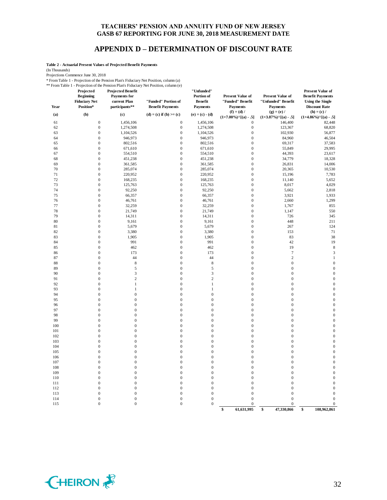#### **APPENDIX D – DETERMINATION OF DISCOUNT RATE**

**Table 2 - Actuarial Present Values of Projected Benefit Payments**

(In Thousands)

Projections Commence June 30, 2018

\* From Table 1 - Projection of the Pension Plan's Fiduciary Net Position, column (a)

\*\* From Table 1 - Projection of the Pension Plan's Fiduciary Net Position, column (e)

| Year     | Projected<br><b>Beginning</b><br><b>Fiduciary Net</b><br>Position* | <b>Projected Benefit</b><br><b>Payments for</b><br>current Plan<br>participants** | TTOILLE LADIE T - TTOJECHOLLOL LIE FEISIOLL FRIES TTURCIALY INCL FOSHIOL, COMILIE (C)<br>"Funded" Portion of<br><b>Benefit Payments</b> | "Unfunded"<br>Portion of<br>Benefit<br><b>Payments</b> | <b>Present Value of</b><br>"Funded" Benefit<br><b>Payments</b> | <b>Present Value of</b><br>"Unfunded" Benefit<br><b>Payments</b> | <b>Present Value of</b><br><b>Benefit Payments</b><br><b>Using the Single</b><br><b>Discount Rate</b> |
|----------|--------------------------------------------------------------------|-----------------------------------------------------------------------------------|-----------------------------------------------------------------------------------------------------------------------------------------|--------------------------------------------------------|----------------------------------------------------------------|------------------------------------------------------------------|-------------------------------------------------------------------------------------------------------|
| (a)      | (b)                                                                | (c)                                                                               | (d) = (c) if (b) >= (c)                                                                                                                 | $(e) = (c) - (d)$                                      | $(f) = (d) /$<br>$(1+7.00\%)$ <sup>^</sup> [(a) - .5]          | $(g) = (e) /$<br>$(1+3.87\%)$ <sup>^</sup> [(a) - .5]            | $(h) = (c) /$<br>$(1+4.86\%)$ <sup>^</sup> [(a) - .5]                                                 |
| 61       | $\mathbf{0}$                                                       | 1,456,106                                                                         | $\boldsymbol{0}$                                                                                                                        | 1,456,106                                              | $\boldsymbol{0}$                                               | 146,400                                                          | 82,448                                                                                                |
| 62       | $\boldsymbol{0}$                                                   | 1,274,508                                                                         | $\boldsymbol{0}$                                                                                                                        | 1,274,508                                              | $\boldsymbol{0}$                                               | 123,367                                                          | 68,820                                                                                                |
| 63       | $\boldsymbol{0}$                                                   | 1,104,526                                                                         | $\boldsymbol{0}$                                                                                                                        | 1,104,526                                              | $\boldsymbol{0}$                                               | 102,930                                                          | 56,877                                                                                                |
| 64       | $\theta$                                                           | 946,973                                                                           | $\boldsymbol{0}$                                                                                                                        | 946,973                                                | $\boldsymbol{0}$                                               | 84,960                                                           | 46,504                                                                                                |
| 65       | $\overline{0}$                                                     | 802,516                                                                           | $\boldsymbol{0}$                                                                                                                        | 802,516                                                | $\boldsymbol{0}$                                               | 69,317                                                           | 37,583                                                                                                |
| 66       | $\boldsymbol{0}$                                                   | 671,610                                                                           | $\boldsymbol{0}$                                                                                                                        | 671,610                                                | $\mathbf{0}$                                                   | 55,849                                                           | 29,995                                                                                                |
| 67       | $\boldsymbol{0}$                                                   | 554,510                                                                           | $\boldsymbol{0}$                                                                                                                        | 554,510                                                | $\boldsymbol{0}$                                               | 44,393                                                           | 23,617                                                                                                |
| 68       | $\boldsymbol{0}$                                                   | 451,238                                                                           | $\boldsymbol{0}$                                                                                                                        | 451,238                                                | $\boldsymbol{0}$                                               | 34,779                                                           | 18,328                                                                                                |
| 69       | $\mathbf{0}$                                                       | 361,585                                                                           | $\mathbf 0$                                                                                                                             | 361,585                                                | $\mathbf{0}$                                                   | 26,831                                                           | 14,006                                                                                                |
| 70       | $\overline{0}$                                                     | 285,074                                                                           | $\boldsymbol{0}$                                                                                                                        | 285,074                                                | $\boldsymbol{0}$                                               | 20,365                                                           | 10,530                                                                                                |
| 71       | $\boldsymbol{0}$                                                   | 220,952                                                                           | $\boldsymbol{0}$                                                                                                                        | 220,952                                                | $\mathbf{0}$                                                   | 15,196                                                           | 7,783                                                                                                 |
| 72       | $\boldsymbol{0}$                                                   | 168,235                                                                           | $\boldsymbol{0}$                                                                                                                        | 168,235                                                | $\boldsymbol{0}$                                               | 11,140                                                           | 5,652                                                                                                 |
| 73       | $\boldsymbol{0}$                                                   | 125,763                                                                           | $\boldsymbol{0}$                                                                                                                        | 125,763                                                | $\boldsymbol{0}$                                               | 8,017                                                            | 4,029                                                                                                 |
| 74       | $\boldsymbol{0}$                                                   | 92,250                                                                            | $\mathbf 0$                                                                                                                             | 92,250                                                 | $\mathbf{0}$                                                   | 5,662                                                            | 2,818                                                                                                 |
| 75       | $\overline{0}$                                                     | 66,357                                                                            | $\boldsymbol{0}$                                                                                                                        | 66,357                                                 | $\boldsymbol{0}$                                               | 3,921                                                            | 1,933                                                                                                 |
| 76<br>77 | $\boldsymbol{0}$<br>$\boldsymbol{0}$                               | 46,761<br>32,259                                                                  | $\boldsymbol{0}$<br>$\boldsymbol{0}$                                                                                                    | 46,761<br>32,259                                       | $\mathbf{0}$<br>$\boldsymbol{0}$                               | 2,660                                                            | 1,299<br>855                                                                                          |
| 78       | $\boldsymbol{0}$                                                   | 21,749                                                                            | $\boldsymbol{0}$                                                                                                                        | 21,749                                                 | $\boldsymbol{0}$                                               | 1,767<br>1,147                                                   | 550                                                                                                   |
| 79       | $\boldsymbol{0}$                                                   | 14,311                                                                            | $\mathbf 0$                                                                                                                             | 14,311                                                 | $\mathbf{0}$                                                   | 726                                                              | 345                                                                                                   |
| 80       | $\boldsymbol{0}$                                                   | 9,161                                                                             | $\boldsymbol{0}$                                                                                                                        | 9,161                                                  | $\boldsymbol{0}$                                               | 448                                                              | 211                                                                                                   |
| 81       | $\boldsymbol{0}$                                                   | 5,679                                                                             | $\boldsymbol{0}$                                                                                                                        | 5,679                                                  | $\mathbf{0}$                                                   | 267                                                              | 124                                                                                                   |
| 82       | $\boldsymbol{0}$                                                   | 3,380                                                                             | $\boldsymbol{0}$                                                                                                                        | 3,380                                                  | $\boldsymbol{0}$                                               | 153                                                              | 71                                                                                                    |
| 83       | $\mathbf{0}$                                                       | 1,905                                                                             | $\boldsymbol{0}$                                                                                                                        | 1,905                                                  | $\mathbf{0}$                                                   | 83                                                               | 38                                                                                                    |
| 84       | $\overline{0}$                                                     | 991                                                                               | $\boldsymbol{0}$                                                                                                                        | 991                                                    | $\mathbf{0}$                                                   | 42                                                               | 19                                                                                                    |
| 85       | $\overline{0}$                                                     | 462                                                                               | $\boldsymbol{0}$                                                                                                                        | 462                                                    | $\mathbf{0}$                                                   | 19                                                               | $\,$ 8 $\,$                                                                                           |
| 86       | $\boldsymbol{0}$                                                   | 173                                                                               | $\mathbf{0}$                                                                                                                            | 173                                                    | $\mathbf{0}$                                                   | $\tau$                                                           | 3                                                                                                     |
| 87       | $\mathbf{0}$                                                       | 44                                                                                | $\mathbf{0}$                                                                                                                            | 44                                                     | $\overline{0}$                                                 | $\,2$                                                            | $\mathbf{1}$                                                                                          |
| 88       | $\boldsymbol{0}$                                                   | $\,$ 8 $\,$                                                                       | $\mathbf 0$                                                                                                                             | $\,$ 8 $\,$                                            | $\mathbf{0}$                                                   | $\boldsymbol{0}$                                                 | $\boldsymbol{0}$                                                                                      |
| 89       | $\overline{0}$                                                     | $\sqrt{5}$                                                                        | $\mathbf{0}$                                                                                                                            | 5                                                      | $\mathbf{0}$                                                   | $\boldsymbol{0}$                                                 | $\boldsymbol{0}$                                                                                      |
| 90       | $\overline{0}$                                                     | $\overline{3}$                                                                    | $\mathbf{0}$                                                                                                                            | 3                                                      | $\mathbf{0}$                                                   | $\boldsymbol{0}$                                                 | $\boldsymbol{0}$                                                                                      |
| 91       | $\boldsymbol{0}$                                                   | $\overline{2}$                                                                    | $\mathbf{0}$                                                                                                                            | $\overline{2}$                                         | $\mathbf{0}$                                                   | $\boldsymbol{0}$                                                 | $\boldsymbol{0}$                                                                                      |
| 92       | $\mathbf{0}$                                                       | $\mathbf{1}$                                                                      | $\overline{0}$                                                                                                                          | $\mathbf{1}$                                           | $\overline{0}$                                                 | $\boldsymbol{0}$                                                 | $\boldsymbol{0}$                                                                                      |
| 93       | $\boldsymbol{0}$                                                   | $\mathbf{1}$                                                                      | $\mathbf 0$                                                                                                                             | $\mathbf{1}$                                           | $\mathbf{0}$                                                   | $\mathbf 0$                                                      | $\boldsymbol{0}$                                                                                      |
| 94       | $\overline{0}$                                                     | $\boldsymbol{0}$                                                                  | $\mathbf{0}$                                                                                                                            | $\mathbf 0$                                            | $\mathbf{0}$                                                   | $\boldsymbol{0}$                                                 | $\boldsymbol{0}$                                                                                      |
| 95       | $\mathbf{0}$                                                       | $\boldsymbol{0}$                                                                  | $\mathbf{0}$                                                                                                                            | $\boldsymbol{0}$                                       | $\mathbf{0}$                                                   | $\boldsymbol{0}$                                                 | $\boldsymbol{0}$                                                                                      |
| 96<br>97 | $\boldsymbol{0}$<br>$\mathbf{0}$                                   | $\boldsymbol{0}$<br>$\mathbf{0}$                                                  | $\mathbf{0}$<br>$\overline{0}$                                                                                                          | $\boldsymbol{0}$<br>$\mathbf{0}$                       | $\boldsymbol{0}$<br>$\overline{0}$                             | $\boldsymbol{0}$<br>$\mathbf{0}$                                 | $\boldsymbol{0}$<br>$\mathbf{0}$                                                                      |
| 98       | $\overline{0}$                                                     | $\boldsymbol{0}$                                                                  | $\mathbf 0$                                                                                                                             | $\mathbf 0$                                            | $\mathbf{0}$                                                   | $\boldsymbol{0}$                                                 | $\boldsymbol{0}$                                                                                      |
| 99       | $\overline{0}$                                                     | $\boldsymbol{0}$                                                                  | $\mathbf{0}$                                                                                                                            | $\mathbf 0$                                            | $\mathbf{0}$                                                   | $\boldsymbol{0}$                                                 | $\boldsymbol{0}$                                                                                      |
| 100      | $\mathbf{0}$                                                       | $\boldsymbol{0}$                                                                  | $\mathbf{0}$                                                                                                                            | $\boldsymbol{0}$                                       | $\mathbf{0}$                                                   | $\boldsymbol{0}$                                                 | $\boldsymbol{0}$                                                                                      |
| 101      | $\Omega$                                                           | $\boldsymbol{0}$                                                                  | $\mathbf{0}$                                                                                                                            | $\boldsymbol{0}$                                       | $\mathbf{0}$                                                   | $\boldsymbol{0}$                                                 | $\boldsymbol{0}$                                                                                      |
| 102      | $\mathbf{0}$                                                       | $\mathbf{0}$                                                                      | $\overline{0}$                                                                                                                          | $\mathbf{0}$                                           | $\mathbf{0}$                                                   | $\mathbf{0}$                                                     | $\boldsymbol{0}$                                                                                      |
| 103      | $\overline{0}$                                                     | $\boldsymbol{0}$                                                                  | $\mathbf{0}$                                                                                                                            | $\mathbf{0}$                                           | $\mathbf{0}$                                                   | $\boldsymbol{0}$                                                 | $\boldsymbol{0}$                                                                                      |
| 104      | $\overline{0}$                                                     | $\boldsymbol{0}$                                                                  | $\mathbf{0}$                                                                                                                            | $\mathbf{0}$                                           | $\mathbf{0}$                                                   | $\boldsymbol{0}$                                                 | $\boldsymbol{0}$                                                                                      |
| 105      | $\mathbf{0}$                                                       | $\boldsymbol{0}$                                                                  | $\boldsymbol{0}$                                                                                                                        | $\boldsymbol{0}$                                       | $\mathbf{0}$                                                   | $\boldsymbol{0}$                                                 | $\boldsymbol{0}$                                                                                      |
| 106      | $\boldsymbol{0}$                                                   | $\boldsymbol{0}$                                                                  | $\mathbf{0}$                                                                                                                            | $\boldsymbol{0}$                                       | $\mathbf{0}$                                                   | $\boldsymbol{0}$                                                 | $\boldsymbol{0}$                                                                                      |
| 107      | $\mathbf{0}$                                                       | $\mathbf{0}$                                                                      | $\overline{0}$                                                                                                                          | $\boldsymbol{0}$                                       | $\mathbf{0}$                                                   | $\mathbf{0}$                                                     | $\boldsymbol{0}$                                                                                      |
| 108      | $\overline{0}$                                                     | $\boldsymbol{0}$                                                                  | $\boldsymbol{0}$                                                                                                                        | $\boldsymbol{0}$                                       | $\mathbf{0}$                                                   | $\boldsymbol{0}$                                                 | $\boldsymbol{0}$                                                                                      |
| 109      | $\overline{0}$                                                     | $\boldsymbol{0}$                                                                  | $\mathbf{0}$                                                                                                                            | $\mathbf 0$                                            | $\mathbf{0}$                                                   | $\bf{0}$                                                         | $\boldsymbol{0}$                                                                                      |
| 110      | $\boldsymbol{0}$                                                   | $\boldsymbol{0}$                                                                  | $\boldsymbol{0}$                                                                                                                        | $\boldsymbol{0}$                                       | $\boldsymbol{0}$                                               | $\boldsymbol{0}$                                                 | $\boldsymbol{0}$                                                                                      |
| 111      | $\mathbf{0}$                                                       | $\mathbf{0}$                                                                      | $\mathbf{0}$                                                                                                                            | $\boldsymbol{0}$                                       | $\boldsymbol{0}$                                               | $\boldsymbol{0}$                                                 | $\boldsymbol{0}$                                                                                      |
| 112      | $\overline{0}$                                                     | $\mathbf{0}$                                                                      | $\mathbf{0}$                                                                                                                            | $\boldsymbol{0}$                                       | $\boldsymbol{0}$                                               | $\overline{0}$                                                   | $\boldsymbol{0}$                                                                                      |
| 113      | $\boldsymbol{0}$                                                   | $\boldsymbol{0}$                                                                  | $\mathbf 0$                                                                                                                             | $\boldsymbol{0}$                                       | $\mathbf{0}$                                                   | $\mathbf 0$                                                      | $\boldsymbol{0}$                                                                                      |
| 114      | $\boldsymbol{0}$<br>$\theta$                                       | $\boldsymbol{0}$<br>$\boldsymbol{0}$                                              | $\mathbf{0}$<br>$\boldsymbol{0}$                                                                                                        | $\boldsymbol{0}$<br>$\boldsymbol{0}$                   | $\boldsymbol{0}$                                               | $\boldsymbol{0}$<br>$\boldsymbol{0}$                             | $\boldsymbol{0}$                                                                                      |
| 115      |                                                                    |                                                                                   |                                                                                                                                         |                                                        | $\boldsymbol{0}$<br>61.631.995<br>\$                           | 47.330.866<br>\$                                                 | $\boldsymbol{0}$<br>108.962.861<br>\$                                                                 |

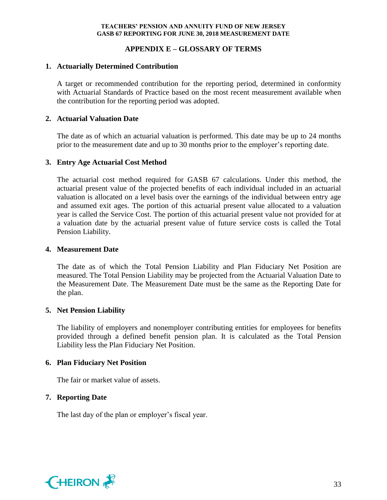## **APPENDIX E – GLOSSARY OF TERMS**

## **1. Actuarially Determined Contribution**

A target or recommended contribution for the reporting period, determined in conformity with Actuarial Standards of Practice based on the most recent measurement available when the contribution for the reporting period was adopted.

## **2. Actuarial Valuation Date**

The date as of which an actuarial valuation is performed. This date may be up to 24 months prior to the measurement date and up to 30 months prior to the employer's reporting date.

## **3. Entry Age Actuarial Cost Method**

The actuarial cost method required for GASB 67 calculations. Under this method, the actuarial present value of the projected benefits of each individual included in an actuarial valuation is allocated on a level basis over the earnings of the individual between entry age and assumed exit ages. The portion of this actuarial present value allocated to a valuation year is called the Service Cost. The portion of this actuarial present value not provided for at a valuation date by the actuarial present value of future service costs is called the Total Pension Liability.

#### **4. Measurement Date**

The date as of which the Total Pension Liability and Plan Fiduciary Net Position are measured. The Total Pension Liability may be projected from the Actuarial Valuation Date to the Measurement Date. The Measurement Date must be the same as the Reporting Date for the plan.

#### **5. Net Pension Liability**

The liability of employers and nonemployer contributing entities for employees for benefits provided through a defined benefit pension plan. It is calculated as the Total Pension Liability less the Plan Fiduciary Net Position.

#### **6. Plan Fiduciary Net Position**

The fair or market value of assets.

## **7. Reporting Date**

The last day of the plan or employer's fiscal year.